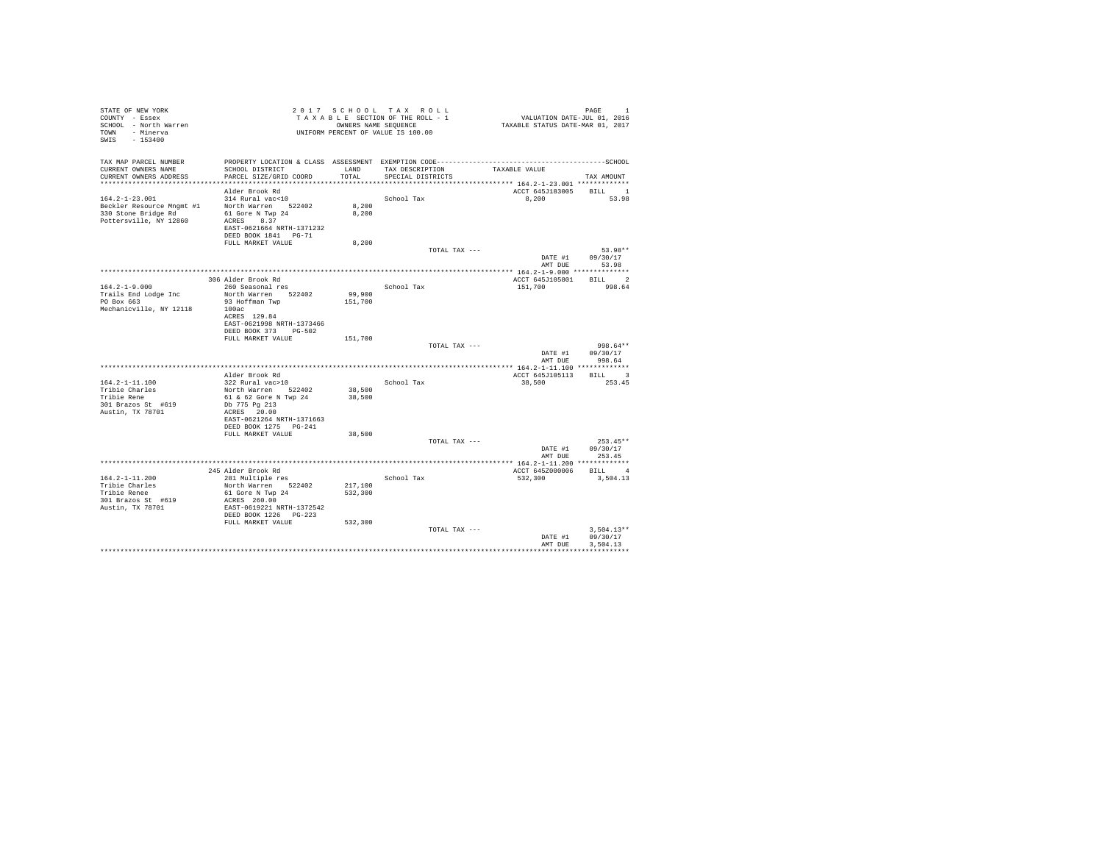| SCHOOL DISTRICT<br>TAX DESCRIPTION<br>LAND<br>TAXABLE VALUE<br>CURRENT OWNERS ADDRESS<br>PARCEL SIZE/GRID COORD<br>TOTAL.<br>SPECIAL DISTRICTS<br>TAX AMOUNT<br>************************* 164.2-1-23.001 *************<br>Alder Brook Rd<br>ACCT 645J183005<br>BILL 1<br>314 Rural vac<10<br>School Tax<br>8,200<br>53.98<br>North Warren 522402<br>8,200<br>330 Stone Bridge Rd<br>61 Gore N Twp 24<br>8,200<br>Pottersville, NY 12860<br>ACRES 8.37<br>EAST-0621664 NRTH-1371232<br>DEED BOOK 1841 PG-71<br>8,200<br>FULL MARKET VALUE<br>53.98**<br>TOTAL TAX ---<br>DATE #1<br>09/30/17<br>AMT DUE 53.98<br>BILL 2<br>306 Alder Brook Rd<br>ACCT 645J105801<br>$164.2 - 1 - 9.000$<br>260 Seasonal res<br>School Tax<br>151,700<br>998.64<br>North Warren 522402<br>99,900<br>93 Hoffman Twp<br>151,700<br>Mechanicville, NY 12118<br>100ac<br>ACRES 129.84<br>EAST-0621998 NRTH-1373466<br>DEED BOOK 373 PG-502<br>FULL MARKET VALUE<br>151,700<br>998.64**<br>TOTAL TAX ---<br>DATE #1<br>09/30/17<br>AMT DUE 998.64<br>BILL 3<br>ACCT 645J105113<br>Alder Brook Rd<br>322 Rural vac>10<br>School Tax<br>38,500<br>253.45<br>North Warren 522402<br>38,500<br>Tribie Rene<br>61 & 62 Gore N Twp 24<br>38,500<br>301 Brazos St #619<br>Db 775 Pg 213<br>Austin, TX 78701<br>ACRES 20.00<br>EAST-0621264 NRTH-1371663<br>DEED BOOK 1275 PG-241<br>FULL MARKET VALUE<br>38,500<br>TOTAL TAX ---<br>$253.45**$<br>DATE #1<br>09/30/17<br>AMT DUE<br>253.45<br>BILL 4<br>ACCT 645Z000006<br>245 Alder Brook Rd<br>281 Multiple res<br>School Tax<br>532,300<br>3,504.13<br>North Warren 522402<br>217,100<br>Tribie Renee<br>61 Gore N Twp 24<br>532,300<br>301 Brazos St #619<br>ACRES 260.00<br>Austin, TX 78701<br>EAST-0619221 NRTH-1372542<br>DEED BOOK 1226 PG-223<br>FULL MARKET VALUE<br>532,300<br>$3.504.13**$<br>TOTAL TAX ---<br>DATE #1<br>09/30/17<br>AMT DUE<br>3.504.13 | STATE OF NEW YORK<br>COUNTY - Essex<br>SCHOOL - North Warren<br>TOWN - Minerva<br>SWIS - 153400 |  | 2017 SCHOOL TAX ROLL<br>TAXABLE SECTION OF THE ROLL - 1<br>OWNERS NAME SEQUENCE<br>UNIFORM PERCENT OF VALUE IS 100.00 | VALUATION DATE-JUL $01$ , 2016<br>TAXABLE STATUS DATE-MAR 01, 2017 | PAGE<br>$\mathbf{1}$ |
|------------------------------------------------------------------------------------------------------------------------------------------------------------------------------------------------------------------------------------------------------------------------------------------------------------------------------------------------------------------------------------------------------------------------------------------------------------------------------------------------------------------------------------------------------------------------------------------------------------------------------------------------------------------------------------------------------------------------------------------------------------------------------------------------------------------------------------------------------------------------------------------------------------------------------------------------------------------------------------------------------------------------------------------------------------------------------------------------------------------------------------------------------------------------------------------------------------------------------------------------------------------------------------------------------------------------------------------------------------------------------------------------------------------------------------------------------------------------------------------------------------------------------------------------------------------------------------------------------------------------------------------------------------------------------------------------------------------------------------------------------------------------------------------------------------------------------------------------------------------------------------------|-------------------------------------------------------------------------------------------------|--|-----------------------------------------------------------------------------------------------------------------------|--------------------------------------------------------------------|----------------------|
|                                                                                                                                                                                                                                                                                                                                                                                                                                                                                                                                                                                                                                                                                                                                                                                                                                                                                                                                                                                                                                                                                                                                                                                                                                                                                                                                                                                                                                                                                                                                                                                                                                                                                                                                                                                                                                                                                          | TAX MAP PARCEL NUMBER<br>CURRENT OWNERS NAME                                                    |  |                                                                                                                       |                                                                    |                      |
|                                                                                                                                                                                                                                                                                                                                                                                                                                                                                                                                                                                                                                                                                                                                                                                                                                                                                                                                                                                                                                                                                                                                                                                                                                                                                                                                                                                                                                                                                                                                                                                                                                                                                                                                                                                                                                                                                          |                                                                                                 |  |                                                                                                                       |                                                                    |                      |
|                                                                                                                                                                                                                                                                                                                                                                                                                                                                                                                                                                                                                                                                                                                                                                                                                                                                                                                                                                                                                                                                                                                                                                                                                                                                                                                                                                                                                                                                                                                                                                                                                                                                                                                                                                                                                                                                                          |                                                                                                 |  |                                                                                                                       |                                                                    |                      |
|                                                                                                                                                                                                                                                                                                                                                                                                                                                                                                                                                                                                                                                                                                                                                                                                                                                                                                                                                                                                                                                                                                                                                                                                                                                                                                                                                                                                                                                                                                                                                                                                                                                                                                                                                                                                                                                                                          | $164.2 - 1 - 23.001$                                                                            |  |                                                                                                                       |                                                                    |                      |
|                                                                                                                                                                                                                                                                                                                                                                                                                                                                                                                                                                                                                                                                                                                                                                                                                                                                                                                                                                                                                                                                                                                                                                                                                                                                                                                                                                                                                                                                                                                                                                                                                                                                                                                                                                                                                                                                                          | Beckler Resource Mngmt #1                                                                       |  |                                                                                                                       |                                                                    |                      |
|                                                                                                                                                                                                                                                                                                                                                                                                                                                                                                                                                                                                                                                                                                                                                                                                                                                                                                                                                                                                                                                                                                                                                                                                                                                                                                                                                                                                                                                                                                                                                                                                                                                                                                                                                                                                                                                                                          |                                                                                                 |  |                                                                                                                       |                                                                    |                      |
|                                                                                                                                                                                                                                                                                                                                                                                                                                                                                                                                                                                                                                                                                                                                                                                                                                                                                                                                                                                                                                                                                                                                                                                                                                                                                                                                                                                                                                                                                                                                                                                                                                                                                                                                                                                                                                                                                          |                                                                                                 |  |                                                                                                                       |                                                                    |                      |
|                                                                                                                                                                                                                                                                                                                                                                                                                                                                                                                                                                                                                                                                                                                                                                                                                                                                                                                                                                                                                                                                                                                                                                                                                                                                                                                                                                                                                                                                                                                                                                                                                                                                                                                                                                                                                                                                                          |                                                                                                 |  |                                                                                                                       |                                                                    |                      |
|                                                                                                                                                                                                                                                                                                                                                                                                                                                                                                                                                                                                                                                                                                                                                                                                                                                                                                                                                                                                                                                                                                                                                                                                                                                                                                                                                                                                                                                                                                                                                                                                                                                                                                                                                                                                                                                                                          |                                                                                                 |  |                                                                                                                       |                                                                    |                      |
|                                                                                                                                                                                                                                                                                                                                                                                                                                                                                                                                                                                                                                                                                                                                                                                                                                                                                                                                                                                                                                                                                                                                                                                                                                                                                                                                                                                                                                                                                                                                                                                                                                                                                                                                                                                                                                                                                          |                                                                                                 |  |                                                                                                                       |                                                                    |                      |
|                                                                                                                                                                                                                                                                                                                                                                                                                                                                                                                                                                                                                                                                                                                                                                                                                                                                                                                                                                                                                                                                                                                                                                                                                                                                                                                                                                                                                                                                                                                                                                                                                                                                                                                                                                                                                                                                                          |                                                                                                 |  |                                                                                                                       |                                                                    |                      |
|                                                                                                                                                                                                                                                                                                                                                                                                                                                                                                                                                                                                                                                                                                                                                                                                                                                                                                                                                                                                                                                                                                                                                                                                                                                                                                                                                                                                                                                                                                                                                                                                                                                                                                                                                                                                                                                                                          |                                                                                                 |  |                                                                                                                       |                                                                    |                      |
|                                                                                                                                                                                                                                                                                                                                                                                                                                                                                                                                                                                                                                                                                                                                                                                                                                                                                                                                                                                                                                                                                                                                                                                                                                                                                                                                                                                                                                                                                                                                                                                                                                                                                                                                                                                                                                                                                          |                                                                                                 |  |                                                                                                                       |                                                                    |                      |
|                                                                                                                                                                                                                                                                                                                                                                                                                                                                                                                                                                                                                                                                                                                                                                                                                                                                                                                                                                                                                                                                                                                                                                                                                                                                                                                                                                                                                                                                                                                                                                                                                                                                                                                                                                                                                                                                                          |                                                                                                 |  |                                                                                                                       |                                                                    |                      |
|                                                                                                                                                                                                                                                                                                                                                                                                                                                                                                                                                                                                                                                                                                                                                                                                                                                                                                                                                                                                                                                                                                                                                                                                                                                                                                                                                                                                                                                                                                                                                                                                                                                                                                                                                                                                                                                                                          | Trails End Lodge Inc                                                                            |  |                                                                                                                       |                                                                    |                      |
|                                                                                                                                                                                                                                                                                                                                                                                                                                                                                                                                                                                                                                                                                                                                                                                                                                                                                                                                                                                                                                                                                                                                                                                                                                                                                                                                                                                                                                                                                                                                                                                                                                                                                                                                                                                                                                                                                          | PO Box 663                                                                                      |  |                                                                                                                       |                                                                    |                      |
|                                                                                                                                                                                                                                                                                                                                                                                                                                                                                                                                                                                                                                                                                                                                                                                                                                                                                                                                                                                                                                                                                                                                                                                                                                                                                                                                                                                                                                                                                                                                                                                                                                                                                                                                                                                                                                                                                          |                                                                                                 |  |                                                                                                                       |                                                                    |                      |
|                                                                                                                                                                                                                                                                                                                                                                                                                                                                                                                                                                                                                                                                                                                                                                                                                                                                                                                                                                                                                                                                                                                                                                                                                                                                                                                                                                                                                                                                                                                                                                                                                                                                                                                                                                                                                                                                                          |                                                                                                 |  |                                                                                                                       |                                                                    |                      |
|                                                                                                                                                                                                                                                                                                                                                                                                                                                                                                                                                                                                                                                                                                                                                                                                                                                                                                                                                                                                                                                                                                                                                                                                                                                                                                                                                                                                                                                                                                                                                                                                                                                                                                                                                                                                                                                                                          |                                                                                                 |  |                                                                                                                       |                                                                    |                      |
|                                                                                                                                                                                                                                                                                                                                                                                                                                                                                                                                                                                                                                                                                                                                                                                                                                                                                                                                                                                                                                                                                                                                                                                                                                                                                                                                                                                                                                                                                                                                                                                                                                                                                                                                                                                                                                                                                          |                                                                                                 |  |                                                                                                                       |                                                                    |                      |
|                                                                                                                                                                                                                                                                                                                                                                                                                                                                                                                                                                                                                                                                                                                                                                                                                                                                                                                                                                                                                                                                                                                                                                                                                                                                                                                                                                                                                                                                                                                                                                                                                                                                                                                                                                                                                                                                                          |                                                                                                 |  |                                                                                                                       |                                                                    |                      |
|                                                                                                                                                                                                                                                                                                                                                                                                                                                                                                                                                                                                                                                                                                                                                                                                                                                                                                                                                                                                                                                                                                                                                                                                                                                                                                                                                                                                                                                                                                                                                                                                                                                                                                                                                                                                                                                                                          |                                                                                                 |  |                                                                                                                       |                                                                    |                      |
|                                                                                                                                                                                                                                                                                                                                                                                                                                                                                                                                                                                                                                                                                                                                                                                                                                                                                                                                                                                                                                                                                                                                                                                                                                                                                                                                                                                                                                                                                                                                                                                                                                                                                                                                                                                                                                                                                          |                                                                                                 |  |                                                                                                                       |                                                                    |                      |
|                                                                                                                                                                                                                                                                                                                                                                                                                                                                                                                                                                                                                                                                                                                                                                                                                                                                                                                                                                                                                                                                                                                                                                                                                                                                                                                                                                                                                                                                                                                                                                                                                                                                                                                                                                                                                                                                                          |                                                                                                 |  |                                                                                                                       |                                                                    |                      |
|                                                                                                                                                                                                                                                                                                                                                                                                                                                                                                                                                                                                                                                                                                                                                                                                                                                                                                                                                                                                                                                                                                                                                                                                                                                                                                                                                                                                                                                                                                                                                                                                                                                                                                                                                                                                                                                                                          | 164.2-1-11.100                                                                                  |  |                                                                                                                       |                                                                    |                      |
|                                                                                                                                                                                                                                                                                                                                                                                                                                                                                                                                                                                                                                                                                                                                                                                                                                                                                                                                                                                                                                                                                                                                                                                                                                                                                                                                                                                                                                                                                                                                                                                                                                                                                                                                                                                                                                                                                          | Tribie Charles                                                                                  |  |                                                                                                                       |                                                                    |                      |
|                                                                                                                                                                                                                                                                                                                                                                                                                                                                                                                                                                                                                                                                                                                                                                                                                                                                                                                                                                                                                                                                                                                                                                                                                                                                                                                                                                                                                                                                                                                                                                                                                                                                                                                                                                                                                                                                                          |                                                                                                 |  |                                                                                                                       |                                                                    |                      |
|                                                                                                                                                                                                                                                                                                                                                                                                                                                                                                                                                                                                                                                                                                                                                                                                                                                                                                                                                                                                                                                                                                                                                                                                                                                                                                                                                                                                                                                                                                                                                                                                                                                                                                                                                                                                                                                                                          |                                                                                                 |  |                                                                                                                       |                                                                    |                      |
|                                                                                                                                                                                                                                                                                                                                                                                                                                                                                                                                                                                                                                                                                                                                                                                                                                                                                                                                                                                                                                                                                                                                                                                                                                                                                                                                                                                                                                                                                                                                                                                                                                                                                                                                                                                                                                                                                          |                                                                                                 |  |                                                                                                                       |                                                                    |                      |
|                                                                                                                                                                                                                                                                                                                                                                                                                                                                                                                                                                                                                                                                                                                                                                                                                                                                                                                                                                                                                                                                                                                                                                                                                                                                                                                                                                                                                                                                                                                                                                                                                                                                                                                                                                                                                                                                                          |                                                                                                 |  |                                                                                                                       |                                                                    |                      |
|                                                                                                                                                                                                                                                                                                                                                                                                                                                                                                                                                                                                                                                                                                                                                                                                                                                                                                                                                                                                                                                                                                                                                                                                                                                                                                                                                                                                                                                                                                                                                                                                                                                                                                                                                                                                                                                                                          |                                                                                                 |  |                                                                                                                       |                                                                    |                      |
|                                                                                                                                                                                                                                                                                                                                                                                                                                                                                                                                                                                                                                                                                                                                                                                                                                                                                                                                                                                                                                                                                                                                                                                                                                                                                                                                                                                                                                                                                                                                                                                                                                                                                                                                                                                                                                                                                          |                                                                                                 |  |                                                                                                                       |                                                                    |                      |
|                                                                                                                                                                                                                                                                                                                                                                                                                                                                                                                                                                                                                                                                                                                                                                                                                                                                                                                                                                                                                                                                                                                                                                                                                                                                                                                                                                                                                                                                                                                                                                                                                                                                                                                                                                                                                                                                                          |                                                                                                 |  |                                                                                                                       |                                                                    |                      |
|                                                                                                                                                                                                                                                                                                                                                                                                                                                                                                                                                                                                                                                                                                                                                                                                                                                                                                                                                                                                                                                                                                                                                                                                                                                                                                                                                                                                                                                                                                                                                                                                                                                                                                                                                                                                                                                                                          |                                                                                                 |  |                                                                                                                       |                                                                    |                      |
|                                                                                                                                                                                                                                                                                                                                                                                                                                                                                                                                                                                                                                                                                                                                                                                                                                                                                                                                                                                                                                                                                                                                                                                                                                                                                                                                                                                                                                                                                                                                                                                                                                                                                                                                                                                                                                                                                          |                                                                                                 |  |                                                                                                                       |                                                                    |                      |
|                                                                                                                                                                                                                                                                                                                                                                                                                                                                                                                                                                                                                                                                                                                                                                                                                                                                                                                                                                                                                                                                                                                                                                                                                                                                                                                                                                                                                                                                                                                                                                                                                                                                                                                                                                                                                                                                                          | $164.2 - 1 - 11.200$                                                                            |  |                                                                                                                       |                                                                    |                      |
|                                                                                                                                                                                                                                                                                                                                                                                                                                                                                                                                                                                                                                                                                                                                                                                                                                                                                                                                                                                                                                                                                                                                                                                                                                                                                                                                                                                                                                                                                                                                                                                                                                                                                                                                                                                                                                                                                          | Tribie Charles                                                                                  |  |                                                                                                                       |                                                                    |                      |
|                                                                                                                                                                                                                                                                                                                                                                                                                                                                                                                                                                                                                                                                                                                                                                                                                                                                                                                                                                                                                                                                                                                                                                                                                                                                                                                                                                                                                                                                                                                                                                                                                                                                                                                                                                                                                                                                                          |                                                                                                 |  |                                                                                                                       |                                                                    |                      |
|                                                                                                                                                                                                                                                                                                                                                                                                                                                                                                                                                                                                                                                                                                                                                                                                                                                                                                                                                                                                                                                                                                                                                                                                                                                                                                                                                                                                                                                                                                                                                                                                                                                                                                                                                                                                                                                                                          |                                                                                                 |  |                                                                                                                       |                                                                    |                      |
|                                                                                                                                                                                                                                                                                                                                                                                                                                                                                                                                                                                                                                                                                                                                                                                                                                                                                                                                                                                                                                                                                                                                                                                                                                                                                                                                                                                                                                                                                                                                                                                                                                                                                                                                                                                                                                                                                          |                                                                                                 |  |                                                                                                                       |                                                                    |                      |
|                                                                                                                                                                                                                                                                                                                                                                                                                                                                                                                                                                                                                                                                                                                                                                                                                                                                                                                                                                                                                                                                                                                                                                                                                                                                                                                                                                                                                                                                                                                                                                                                                                                                                                                                                                                                                                                                                          |                                                                                                 |  |                                                                                                                       |                                                                    |                      |
|                                                                                                                                                                                                                                                                                                                                                                                                                                                                                                                                                                                                                                                                                                                                                                                                                                                                                                                                                                                                                                                                                                                                                                                                                                                                                                                                                                                                                                                                                                                                                                                                                                                                                                                                                                                                                                                                                          |                                                                                                 |  |                                                                                                                       |                                                                    |                      |
|                                                                                                                                                                                                                                                                                                                                                                                                                                                                                                                                                                                                                                                                                                                                                                                                                                                                                                                                                                                                                                                                                                                                                                                                                                                                                                                                                                                                                                                                                                                                                                                                                                                                                                                                                                                                                                                                                          |                                                                                                 |  |                                                                                                                       |                                                                    |                      |
|                                                                                                                                                                                                                                                                                                                                                                                                                                                                                                                                                                                                                                                                                                                                                                                                                                                                                                                                                                                                                                                                                                                                                                                                                                                                                                                                                                                                                                                                                                                                                                                                                                                                                                                                                                                                                                                                                          |                                                                                                 |  |                                                                                                                       |                                                                    |                      |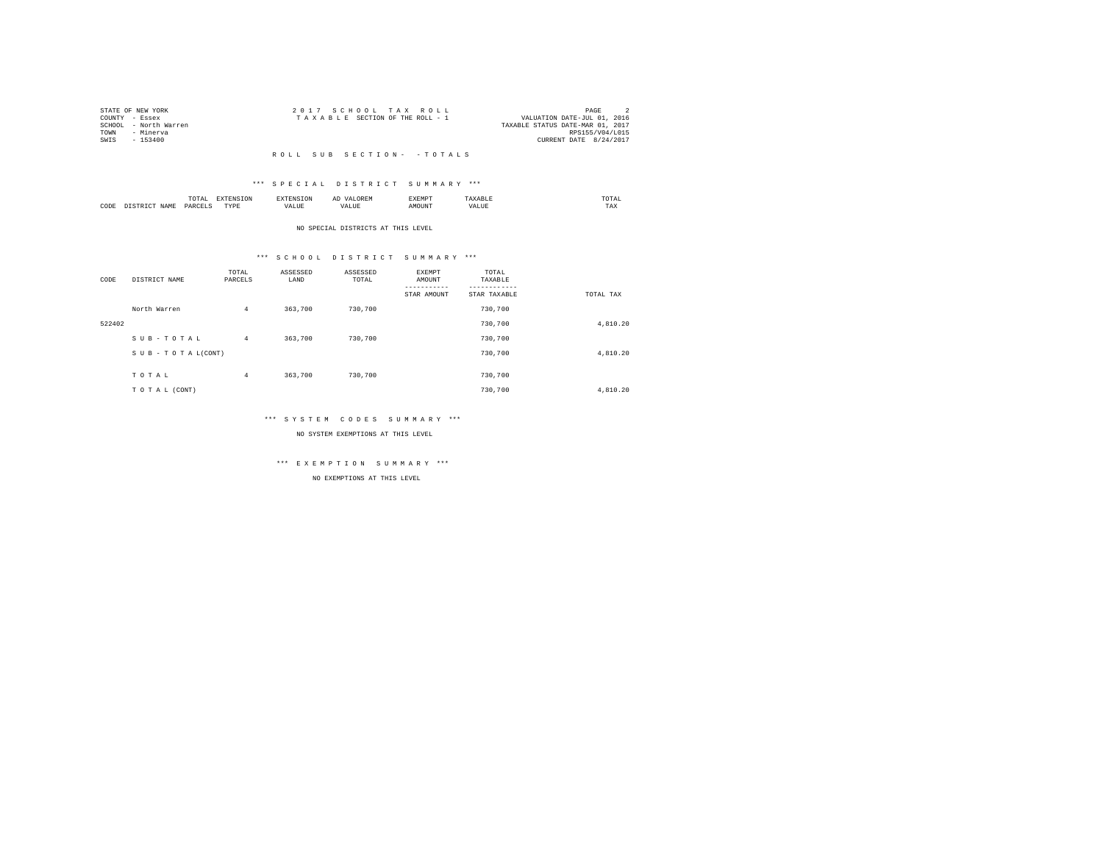| STATE OF NEW YORK     |  | 2017 SCHOOL TAX ROLL            |  |                                  | PAGE            |  |
|-----------------------|--|---------------------------------|--|----------------------------------|-----------------|--|
| COUNTY - Essex        |  | TAXABLE SECTION OF THE ROLL - 1 |  | VALUATION DATE-JUL 01, 2016      |                 |  |
| SCHOOL - North Warren |  |                                 |  | TAXABLE STATUS DATE-MAR 01, 2017 |                 |  |
| TOWN<br>- Minerya     |  |                                 |  |                                  | RPS155/V04/L015 |  |
| SWIS<br>- 153400      |  |                                 |  | CURRENT DATE 8/24/2017           |                 |  |
|                       |  |                                 |  |                                  |                 |  |

### \*\*\* S P E C I A L D I S T R I C T S U M M A R Y \*\*\*

|      |       | .             |                  |    | - | <b>EXEMPT</b><br>----- |           | ™UIAL<br>the contract of the contract of the contract of |  |
|------|-------|---------------|------------------|----|---|------------------------|-----------|----------------------------------------------------------|--|
| CODE | 1 A M | <b>DARCEL</b> | <b>TVDL</b><br>. | ,, |   | )UN.                   | - 19<br>. | $- - - -$<br>1 A.A                                       |  |

#### NO SPECIAL DISTRICTS AT THIS LEVEL

### \*\*\* S C H O O L D I S T R I C T S U M M A R Y \*\*\*

| CODE   | DISTRICT NAME   | TOTAL<br>PARCELS | ASSESSED<br>LAND | ASSESSED<br>TOTAL | <b>EXEMPT</b><br>AMOUNT<br>STAR AMOUNT | TOTAL<br>TAXABLE<br>STAR TAXABLE | TOTAL TAX |
|--------|-----------------|------------------|------------------|-------------------|----------------------------------------|----------------------------------|-----------|
|        | North Warren    | $\overline{4}$   | 363,700          | 730,700           |                                        | 730,700                          |           |
| 522402 |                 |                  |                  |                   |                                        | 730,700                          | 4.810.20  |
|        | SUB-TOTAL       | $\overline{4}$   | 363,700          | 730,700           |                                        | 730,700                          |           |
|        | SUB-TOTAL(CONT) |                  |                  |                   |                                        | 730,700                          | 4.810.20  |
|        |                 |                  |                  |                   |                                        |                                  |           |
|        | TOTAL           | $\overline{4}$   | 363,700          | 730,700           |                                        | 730,700                          |           |
|        | TO TAL (CONT)   |                  |                  |                   |                                        | 730,700                          | 4,810.20  |

### \*\*\* S Y S T E M C O D E S S U M M A R Y \*\*\*

NO SYSTEM EXEMPTIONS AT THIS LEVEL

## \*\*\* E X E M P T I O N S U M M A R Y \*\*\*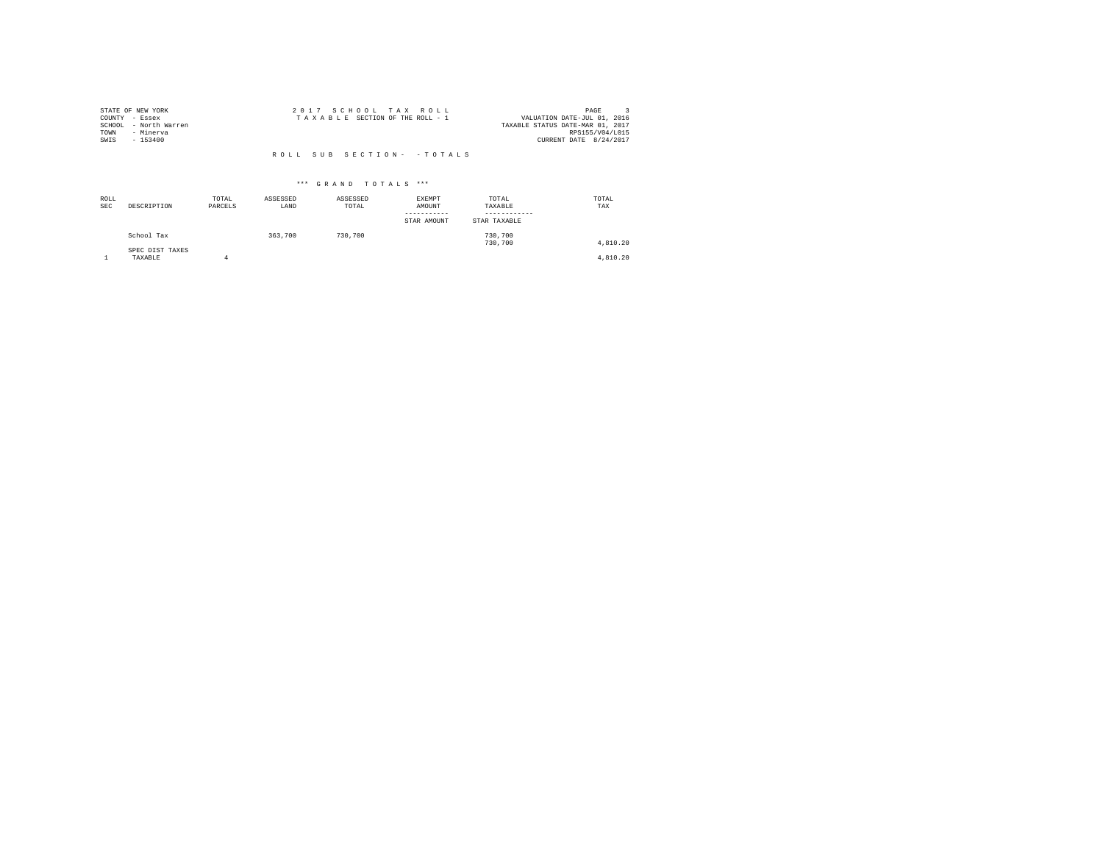| STATE OF NEW YORK     | 2017 SCHOOL TAX ROLL            | PAGE                             |
|-----------------------|---------------------------------|----------------------------------|
| COUNTY - Essex        | TAXABLE SECTION OF THE ROLL - 1 | VALUATION DATE-JUL 01, 2016      |
| SCHOOL - North Warren |                                 | TAXABLE STATUS DATE-MAR 01, 2017 |
| TOWN<br>- Minerva     |                                 | RPS155/V04/L015                  |
| SWIS<br>$-153400$     |                                 | CURRENT DATE 8/24/2017           |
|                       |                                 |                                  |
|                       | ROLL SUB SECTION- - TOTALS      |                                  |

| ROLL<br><b>SEC</b> | DESCRIPTION                | TOTAL<br>PARCELS | ASSESSED<br>LAND | ASSESSED<br>TOTAL | EXEMPT<br>AMOUNT<br>--------<br>STAR AMOUNT | TOTAL<br>TAXABLE<br>STAR TAXABLE | TOTAL<br>TAX |
|--------------------|----------------------------|------------------|------------------|-------------------|---------------------------------------------|----------------------------------|--------------|
|                    | School Tax                 |                  | 363,700          | 730,700           |                                             | 730,700<br>730,700               | 4,810.20     |
|                    | SPEC DIST TAXES<br>TAXABLE |                  |                  |                   |                                             |                                  | 4,810.20     |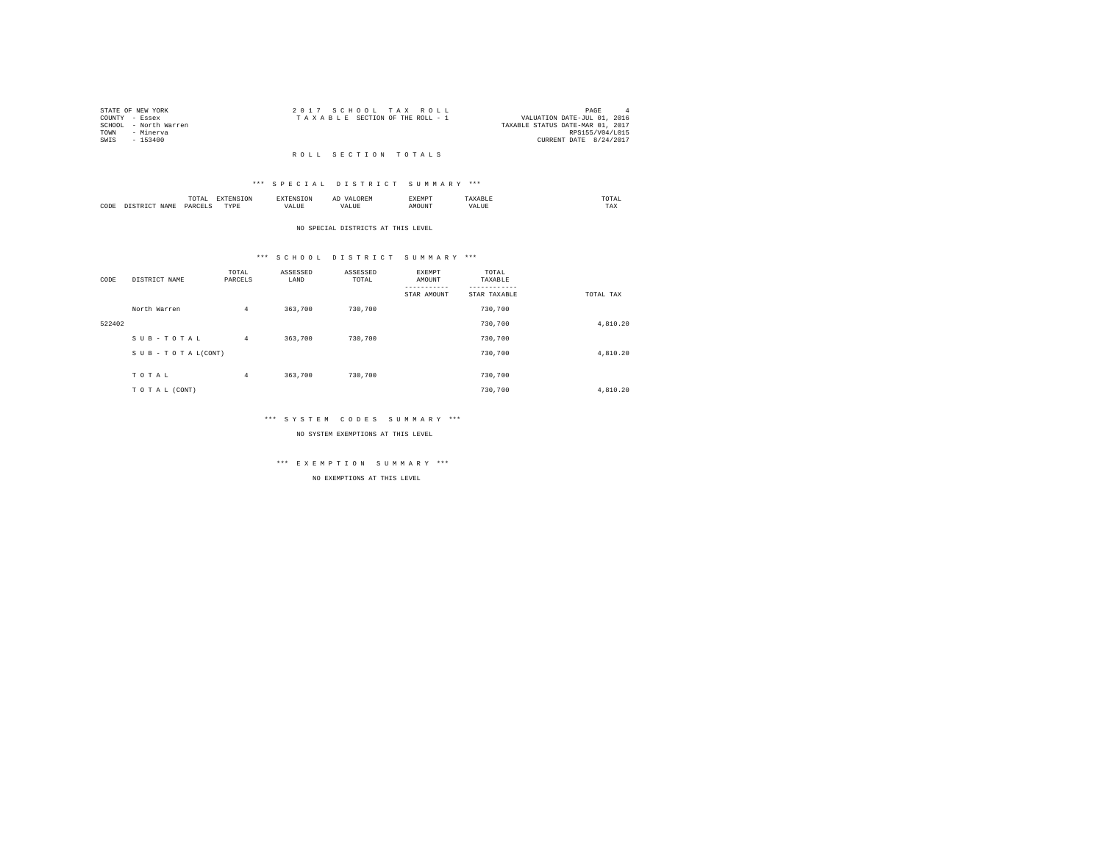|      | STATE OF NEW YORK     | 2017 SCHOOL TAX ROLL            | PAGE<br>$\mathbf{A}$             |
|------|-----------------------|---------------------------------|----------------------------------|
|      | COUNTY - Essex        | TAXABLE SECTION OF THE ROLL - 1 | VALUATION DATE-JUL 01, 2016      |
|      | SCHOOL - North Warren |                                 | TAXABLE STATUS DATE-MAR 01, 2017 |
| TOWN | - Minerva             |                                 | RPS155/V04/L015                  |
| SWIS | - 153400              |                                 | CURRENT DATE 8/24/2017           |
|      |                       |                                 |                                  |

#### R O L L S E C T I O N T O T A L S

### \*\*\* S P E C I A L D I S T R I C T S U M M A R Y \*\*\*

|      |   | LUTAL                |                  |  |       | $m \wedge m \wedge$<br>the contract of the contract of the contract of |
|------|---|----------------------|------------------|--|-------|------------------------------------------------------------------------|
| CODE | . | <b>DAR</b><br>$\sim$ | <b>TVDk</b><br>. |  | MOUN. | 1 A.A                                                                  |

#### NO SPECIAL DISTRICTS AT THIS LEVEL

### \*\*\* S C H O O L D I S T R I C T S U M M A R Y \*\*\*

| CODE   | DISTRICT NAME   | TOTAL<br>PARCELS | ASSESSED<br>LAND | ASSESSED<br>TOTAL | EXEMPT<br>AMOUNT<br>STAR AMOUNT | TOTAL<br>TAXABLE<br>STAR TAXABLE | TOTAL TAX |
|--------|-----------------|------------------|------------------|-------------------|---------------------------------|----------------------------------|-----------|
|        | North Warren    | $\overline{4}$   | 363,700          | 730,700           |                                 | 730,700                          |           |
| 522402 |                 |                  |                  |                   |                                 | 730,700                          | 4,810.20  |
|        | SUB-TOTAL       | $\overline{4}$   | 363,700          | 730,700           |                                 | 730,700                          |           |
|        | SUB-TOTAL(CONT) |                  |                  |                   |                                 | 730,700                          | 4,810.20  |
|        | TOTAL           | $\overline{4}$   | 363,700          | 730,700           |                                 | 730,700                          |           |
|        | TO TAL (CONT)   |                  |                  |                   |                                 | 730,700                          | 4.810.20  |

### \*\*\* S Y S T E M C O D E S S U M M A R Y \*\*\*

NO SYSTEM EXEMPTIONS AT THIS LEVEL

## \*\*\* E X E M P T I O N S U M M A R Y \*\*\*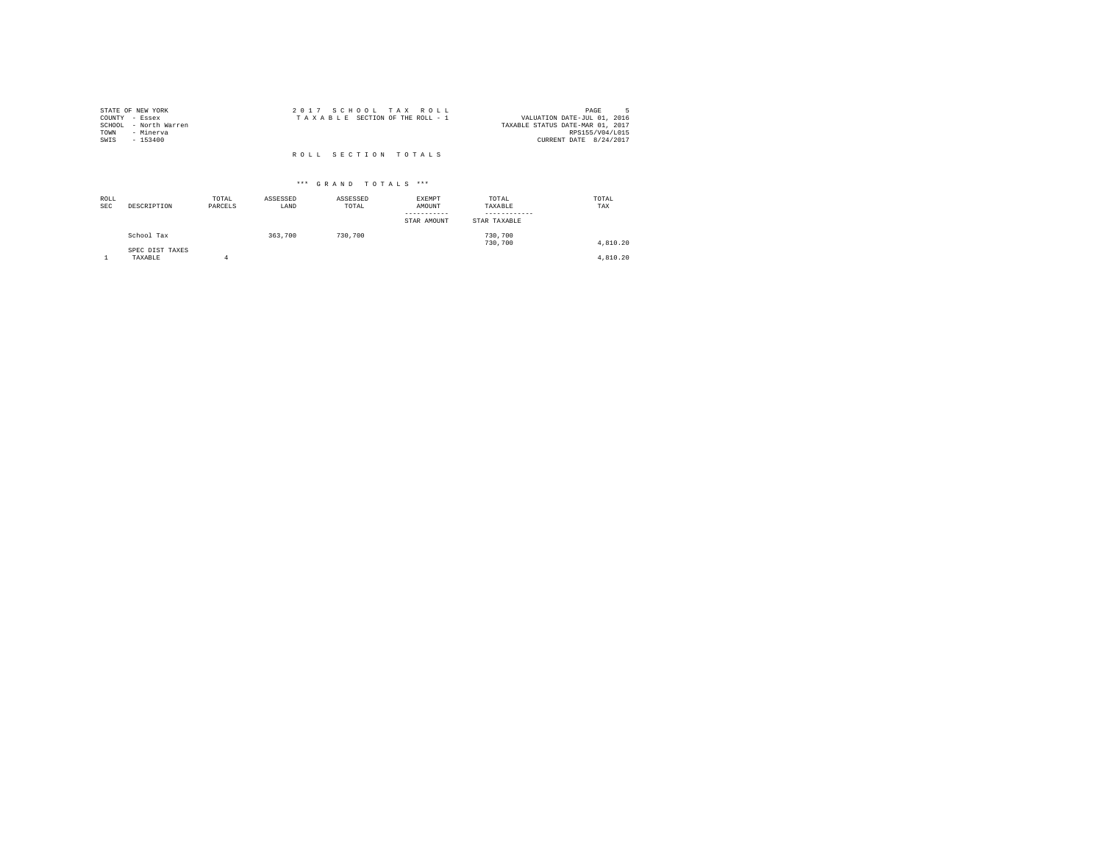| STATE OF NEW YORK     | 2017 SCHOOL TAX ROLL            | PAGE                             |
|-----------------------|---------------------------------|----------------------------------|
| COUNTY - Essex        | TAXABLE SECTION OF THE ROLL - 1 | VALUATION DATE-JUL 01, 2016      |
| SCHOOL - North Warren |                                 | TAXABLE STATUS DATE-MAR 01, 2017 |
| TOWN<br>- Minerva     |                                 | RPS155/V04/L015                  |
| SWIS<br>$-153400$     |                                 | CURRENT DATE 8/24/2017           |
|                       |                                 |                                  |
|                       | ROLL SECTION TOTALS             |                                  |

| ROLL<br>SEC | DESCRIPTION                | TOTAL<br>PARCELS | ASSESSED<br>LAND | ASSESSED<br>TOTAL | EXEMPT<br>AMOUNT<br>-----------<br>STAR AMOUNT | TOTAL<br>TAXABLE<br>------------<br>STAR TAXABLE | TOTAL<br>TAX |
|-------------|----------------------------|------------------|------------------|-------------------|------------------------------------------------|--------------------------------------------------|--------------|
|             | School Tax                 |                  | 363,700          | 730,700           |                                                | 730,700<br>730,700                               | 4,810.20     |
|             | SPEC DIST TAXES<br>TAXABLE | 4                |                  |                   |                                                |                                                  | 4,810.20     |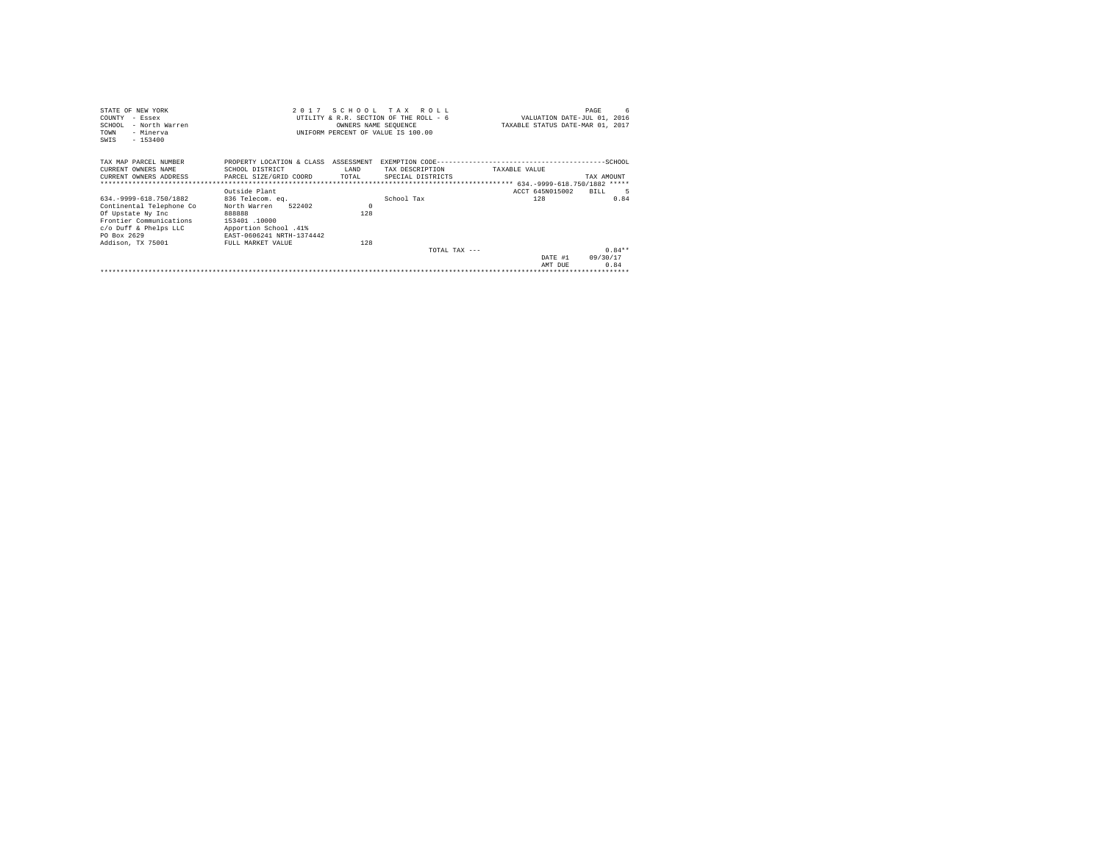| STATE OF NEW YORK                                     |                           |            | 2017 SCHOOL TAX ROLL                   |               |                                  | 6<br>PAGE  |
|-------------------------------------------------------|---------------------------|------------|----------------------------------------|---------------|----------------------------------|------------|
| COUNTY<br>$-$ Essex                                   |                           |            | UTILITY & R.R. SECTION OF THE ROLL - 6 |               | VALUATION DATE-JUL 01, 2016      |            |
| SCHOOL<br>- North Warren                              |                           |            | OWNERS NAME SEQUENCE                   |               | TAXABLE STATUS DATE-MAR 01, 2017 |            |
| - Minerva<br>TOWN                                     |                           |            | UNIFORM PERCENT OF VALUE IS 100.00     |               |                                  |            |
| $-153400$<br>SWIS                                     |                           |            |                                        |               |                                  |            |
|                                                       |                           |            |                                        |               |                                  |            |
| TAX MAP PARCEL NUMBER                                 | PROPERTY LOCATION & CLASS | ASSESSMENT |                                        |               |                                  |            |
| CURRENT OWNERS NAME                                   | SCHOOL DISTRICT           | LAND       | TAX DESCRIPTION                        | TAXABLE VALUE |                                  |            |
| CURRENT OWNERS ADDRESS . PARCEL SIZE/GRID COORD TOTAL |                           |            | SPECIAL DISTRICTS                      |               |                                  | TAX AMOUNT |
|                                                       |                           |            |                                        |               |                                  |            |
|                                                       | Outside Plant             |            |                                        |               | ACCT 645N015002                  | BILL.      |
| 634. - 9999-618. 750/1882                             | 836 Telecom. ea.          |            | School Tax                             |               | 128                              | 0.84       |
| Continental Telephone Co                              | 522402<br>North Warren    | $\Omega$   |                                        |               |                                  |            |
| Of Upstate Ny Inc                                     | 888888                    | 128        |                                        |               |                                  |            |
| Frontier Communications                               | 153401.10000              |            |                                        |               |                                  |            |
| c/o Duff & Phelps LLC                                 | Apportion School .41%     |            |                                        |               |                                  |            |
| PO Box 2629                                           | EAST-0606241 NRTH-1374442 |            |                                        |               |                                  |            |
| Addison, TX 75001                                     | FULL MARKET VALUE         | 128        |                                        |               |                                  |            |
|                                                       |                           |            | TOTAL TAX $---$                        |               |                                  | $0.84**$   |
|                                                       |                           |            |                                        |               | DATE #1                          | 09/30/17   |
|                                                       |                           |            |                                        |               | AMT DUE                          | 0.84       |
|                                                       |                           |            |                                        |               |                                  |            |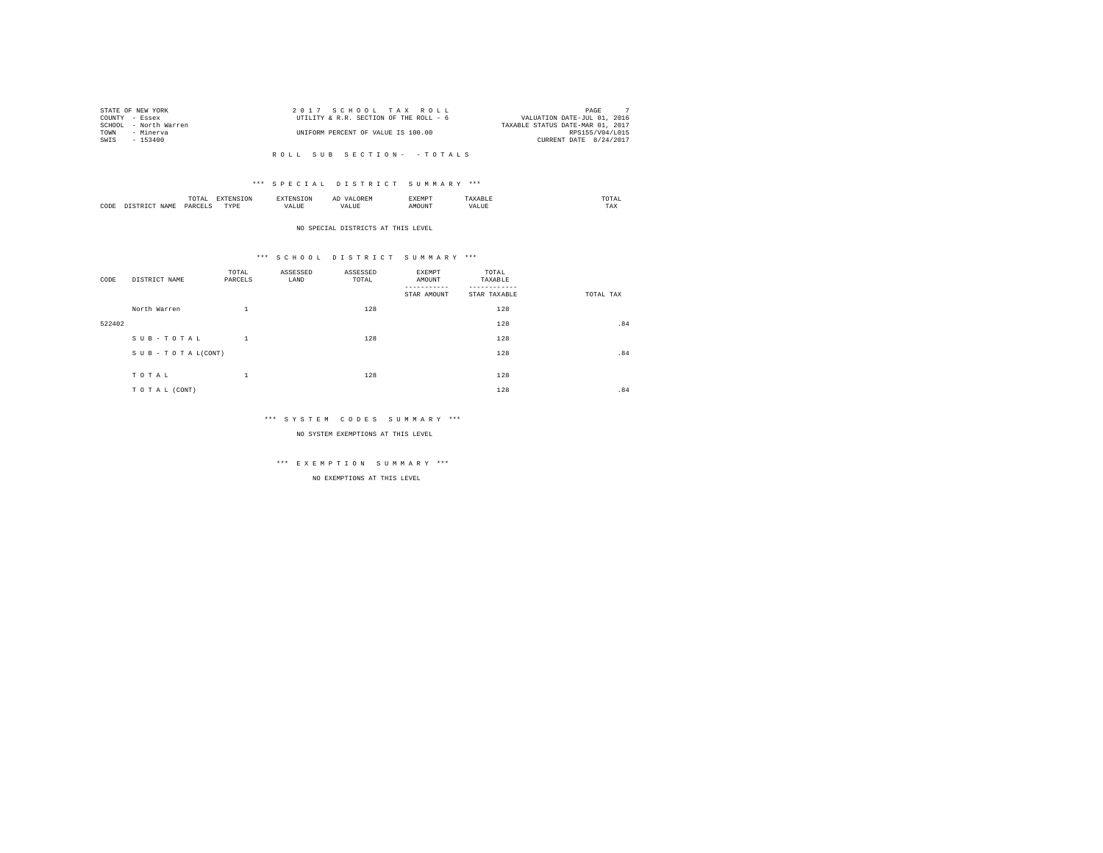|      | STATE OF NEW YORK     | 2017 SCHOOL TAX ROLL                   | PAGE                             |
|------|-----------------------|----------------------------------------|----------------------------------|
|      | COUNTY - Essex        | UTILITY & R.R. SECTION OF THE ROLL - 6 | VALUATION DATE-JUL 01, 2016      |
|      | SCHOOL - North Warren |                                        | TAXABLE STATUS DATE-MAR 01, 2017 |
| TOWN | - Minerva             | UNIFORM PERCENT OF VALUE IS 100.00     | RPS155/V04/L015                  |
| SWIS | - 153400              |                                        | CURRENT DATE 8/24/2017           |
|      |                       |                                        |                                  |

### \*\*\* S P E C I A L D I S T R I C T S U M M A R Y \*\*\*

|      | <b>TRAFFIC</b><br>TAI<br>the contract of the contract of the contract of |            | A. | <b>************</b><br>عدد |   | JIAI<br>the contract of the contract of the contract of |
|------|--------------------------------------------------------------------------|------------|----|----------------------------|---|---------------------------------------------------------|
| CODE | PARC                                                                     | TVDR.<br>. |    | זר                         | n | 1 M.A                                                   |

#### NO SPECIAL DISTRICTS AT THIS LEVEL

### \*\*\* S C H O O L D I S T R I C T S U M M A R Y \*\*\*

| CODE   | DISTRICT NAME   | TOTAL<br>PARCELS | ASSESSED<br>LAND | ASSESSED<br>TOTAL | EXEMPT<br>AMOUNT<br>STAR AMOUNT | TOTAL<br>TAXABLE<br>STAR TAXABLE | TOTAL TAX |
|--------|-----------------|------------------|------------------|-------------------|---------------------------------|----------------------------------|-----------|
|        | North Warren    | $\mathbf{1}$     |                  | 128               |                                 | 128                              |           |
| 522402 |                 |                  |                  |                   |                                 | 128                              | .84       |
|        | SUB-TOTAL       | $\mathbf{1}$     |                  | 128               |                                 | 128                              |           |
|        | SUB-TOTAL(CONT) |                  |                  |                   |                                 | 128                              | .84       |
|        | TOTAL           | $\mathbf{1}$     |                  | 128               |                                 | 128                              |           |
|        | TO TAL (CONT)   |                  |                  |                   |                                 | 128                              | .84       |

### \*\*\* S Y S T E M C O D E S S U M M A R Y \*\*\*

NO SYSTEM EXEMPTIONS AT THIS LEVEL

# \*\*\* E X E M P T I O N S U M M A R Y \*\*\*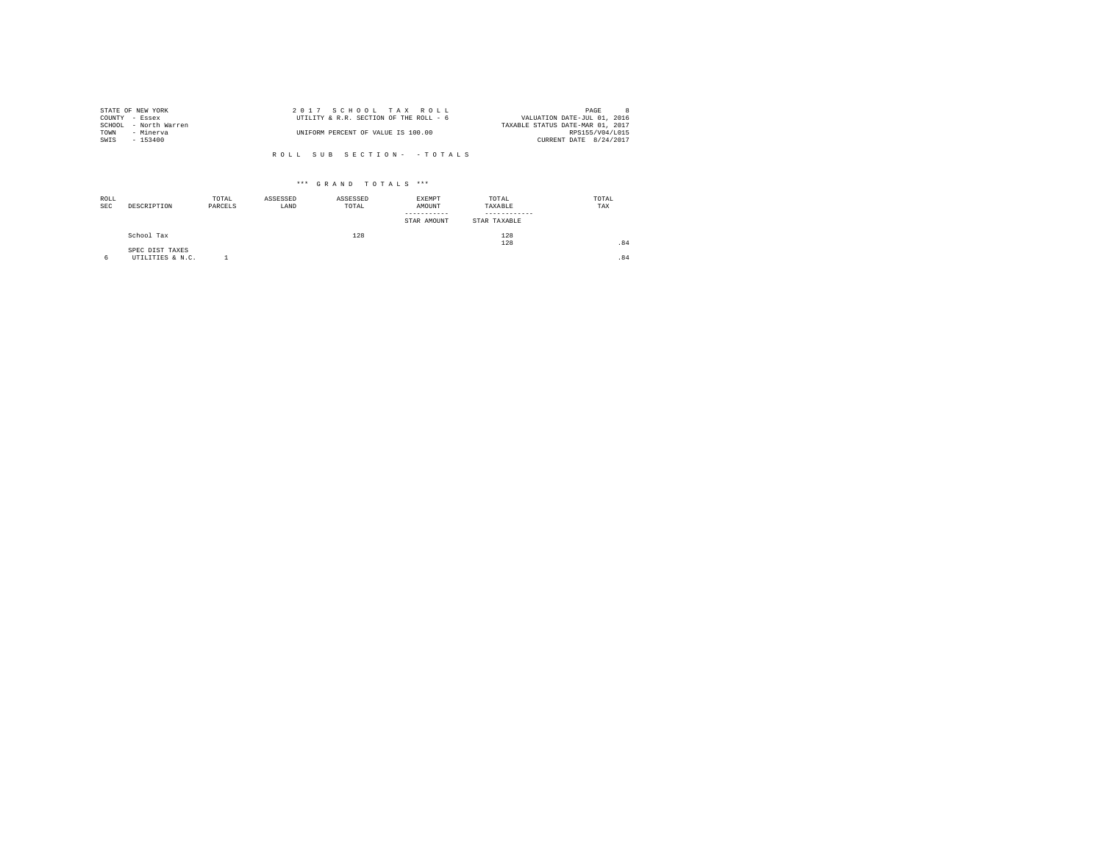|                | STATE OF NEW YORK     | 2017 SCHOOL TAX ROLL                   | PAGE                        |  |
|----------------|-----------------------|----------------------------------------|-----------------------------|--|
| COUNTY - Essex |                       | UTILITY & R.R. SECTION OF THE ROLL - 6 | VALUATION DATE-JUL 01, 2016 |  |
|                | SCHOOL - North Warren | TAXABLE STATUS DATE-MAR 01, 2017       |                             |  |
| TOWN           | - Minerva             | UNIFORM PERCENT OF VALUE IS 100.00     | RPS155/V04/L015             |  |
| SWIS           | - 153400              |                                        | CURRENT DATE 8/24/2017      |  |
|                |                       |                                        |                             |  |

| ROLL<br><b>SEC</b> | DESCRIPTION                         | TOTAL<br>PARCELS | ASSESSED<br>LAND | ASSESSED<br>TOTAL | EXEMPT<br>AMOUNT<br>STAR AMOUNT | TOTAL<br>TAXABLE<br>STAR TAXABLE | TOTAL<br>TAX |
|--------------------|-------------------------------------|------------------|------------------|-------------------|---------------------------------|----------------------------------|--------------|
|                    | School Tax                          |                  |                  | 128               |                                 | 128<br>128                       | .84          |
| 6                  | SPEC DIST TAXES<br>UTILITIES & N.C. |                  |                  |                   |                                 |                                  | .84          |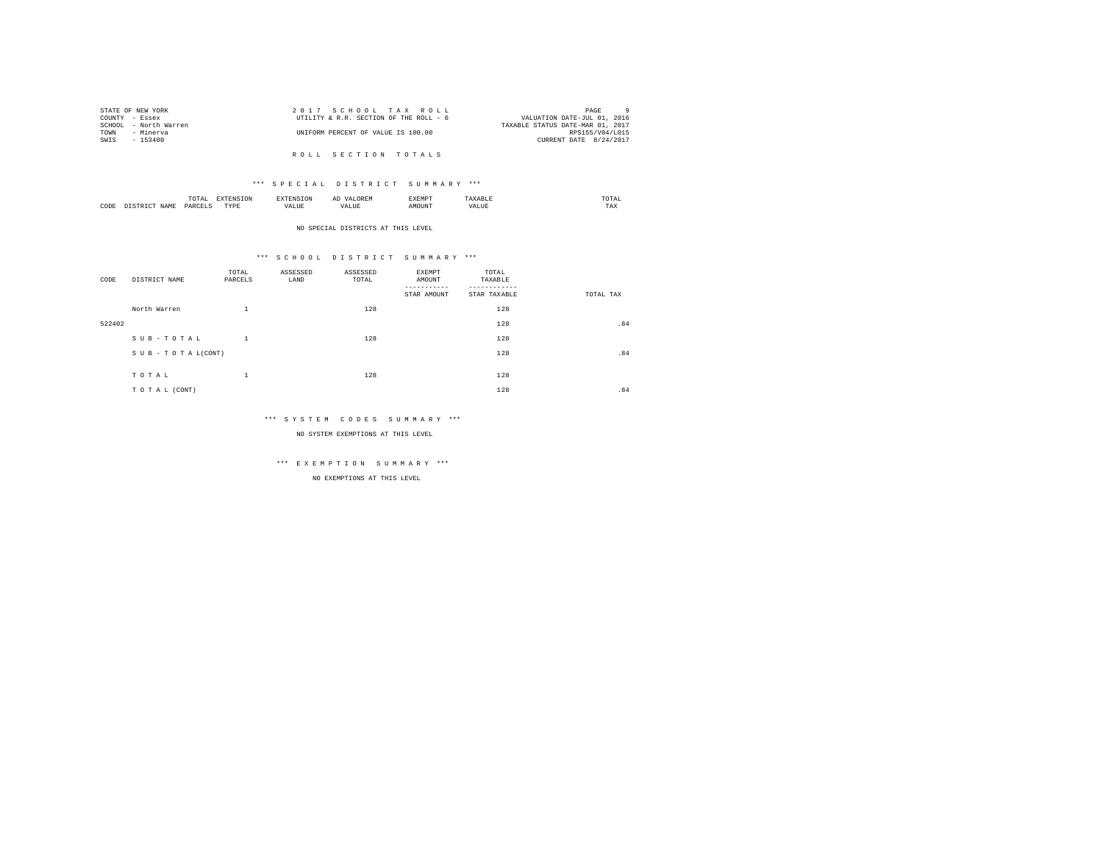|      | STATE OF NEW YORK     | 2017 SCHOOL TAX ROLL                   | PAGE                             |
|------|-----------------------|----------------------------------------|----------------------------------|
|      | COUNTY - Essex        | UTILITY & R.R. SECTION OF THE ROLL - 6 | VALUATION DATE-JUL 01, 2016      |
|      | SCHOOL - North Warren |                                        | TAXABLE STATUS DATE-MAR 01, 2017 |
| TOWN | - Minerva             | UNIFORM PERCENT OF VALUE IS 100.00     | RPS155/V04/L015                  |
| SWIS | - 153400              |                                        | CURRENT DATE 8/24/2017           |
|      |                       |                                        |                                  |
|      |                       | ROLL SECTION TOTALS                    |                                  |

|      |     |                   | ∼ |  | the contract of the contract of the contract of |
|------|-----|-------------------|---|--|-------------------------------------------------|
| CODE | YAN | <b>TVD's</b><br>. |   |  | $- - -$<br>مصا                                  |

#### NO SPECIAL DISTRICTS AT THIS LEVEL

### \*\*\* S C H O O L D I S T R I C T S U M M A R Y \*\*\*

| CODE   | DISTRICT NAME   | TOTAL<br>PARCELS | ASSESSED<br>LAND | ASSESSED<br>TOTAL | EXEMPT<br>AMOUNT<br>STAR AMOUNT | TOTAL<br>TAXABLE<br>STAR TAXABLE | TOTAL TAX |
|--------|-----------------|------------------|------------------|-------------------|---------------------------------|----------------------------------|-----------|
|        | North Warren    | ÷.               |                  | 128               |                                 | 128                              |           |
| 522402 |                 |                  |                  |                   |                                 | 128                              | .84       |
|        | SUB-TOTAL       | $\perp$          |                  | 128               |                                 | 128                              |           |
|        | SUB-TOTAL(CONT) |                  |                  |                   |                                 | 128                              | .84       |
|        | TOTAL           | ÷.               |                  | 128               |                                 | 128                              |           |
|        | TO TAL (CONT)   |                  |                  |                   |                                 | 128                              | .84       |

### \*\*\* S Y S T E M C O D E S S U M M A R Y \*\*\*

NO SYSTEM EXEMPTIONS AT THIS LEVEL

# \*\*\* E X E M P T I O N S U M M A R Y \*\*\*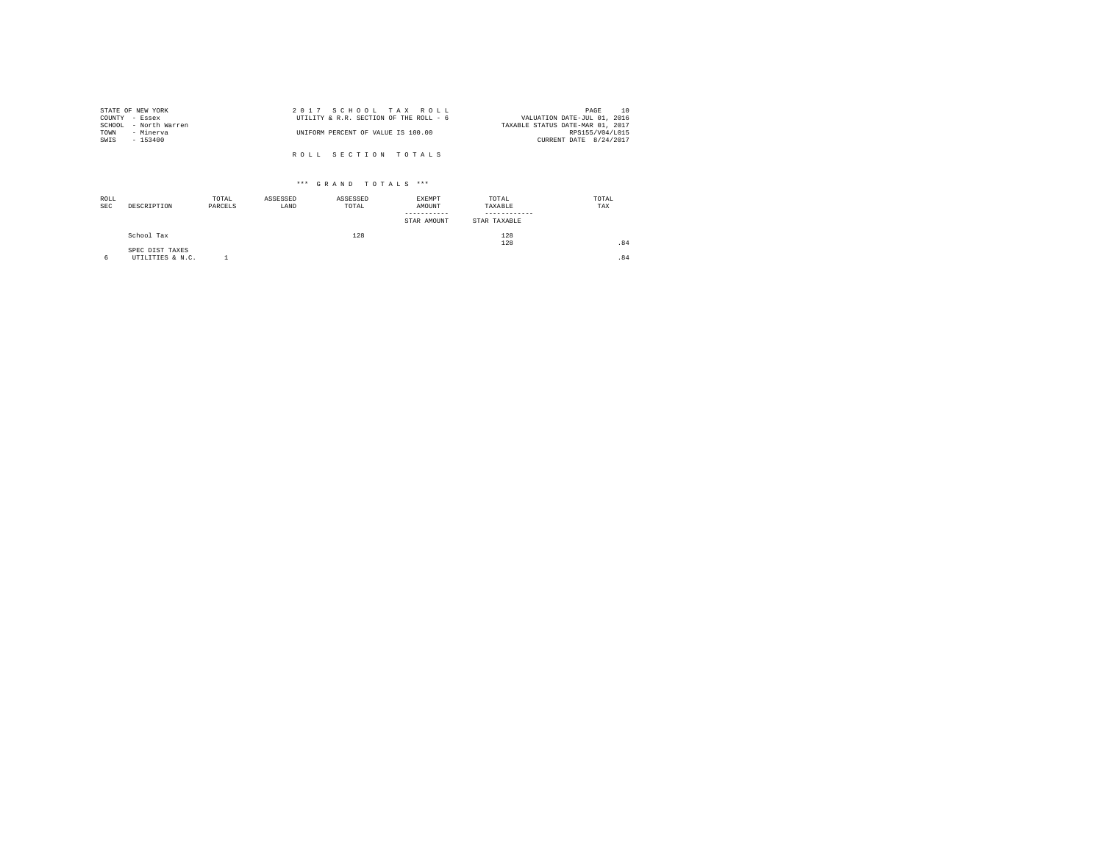| STATE OF NEW YORK     | 2017 SCHOOL TAX ROLL                   | 10<br>PAGE                       |
|-----------------------|----------------------------------------|----------------------------------|
| COUNTY - Essex        | UTILITY & R.R. SECTION OF THE ROLL - 6 | VALUATION DATE-JUL 01, 2016      |
| SCHOOL - North Warren |                                        | TAXABLE STATUS DATE-MAR 01, 2017 |
| TOWN<br>- Minerva     | UNIFORM PERCENT OF VALUE IS 100.00     | RPS155/V04/L015                  |
| SWIS<br>- 153400      |                                        | CURRENT DATE 8/24/2017           |
|                       |                                        |                                  |
|                       | ROLL SECTION TOTALS                    |                                  |

| ROLL<br><b>SEC</b> | DESCRIPTION                         | TOTAL<br>PARCELS | ASSESSED<br>LAND | ASSESSED<br>TOTAL | EXEMPT<br>AMOUNT<br>-----------<br>STAR AMOUNT | TOTAL<br>TAXABLE<br>STAR TAXABLE | TOTAL<br>TAX |
|--------------------|-------------------------------------|------------------|------------------|-------------------|------------------------------------------------|----------------------------------|--------------|
|                    | School Tax                          |                  |                  | 128               |                                                | 128<br>128                       | .84          |
| 6                  | SPEC DIST TAXES<br>UTILITIES & N.C. |                  |                  |                   |                                                |                                  | .84          |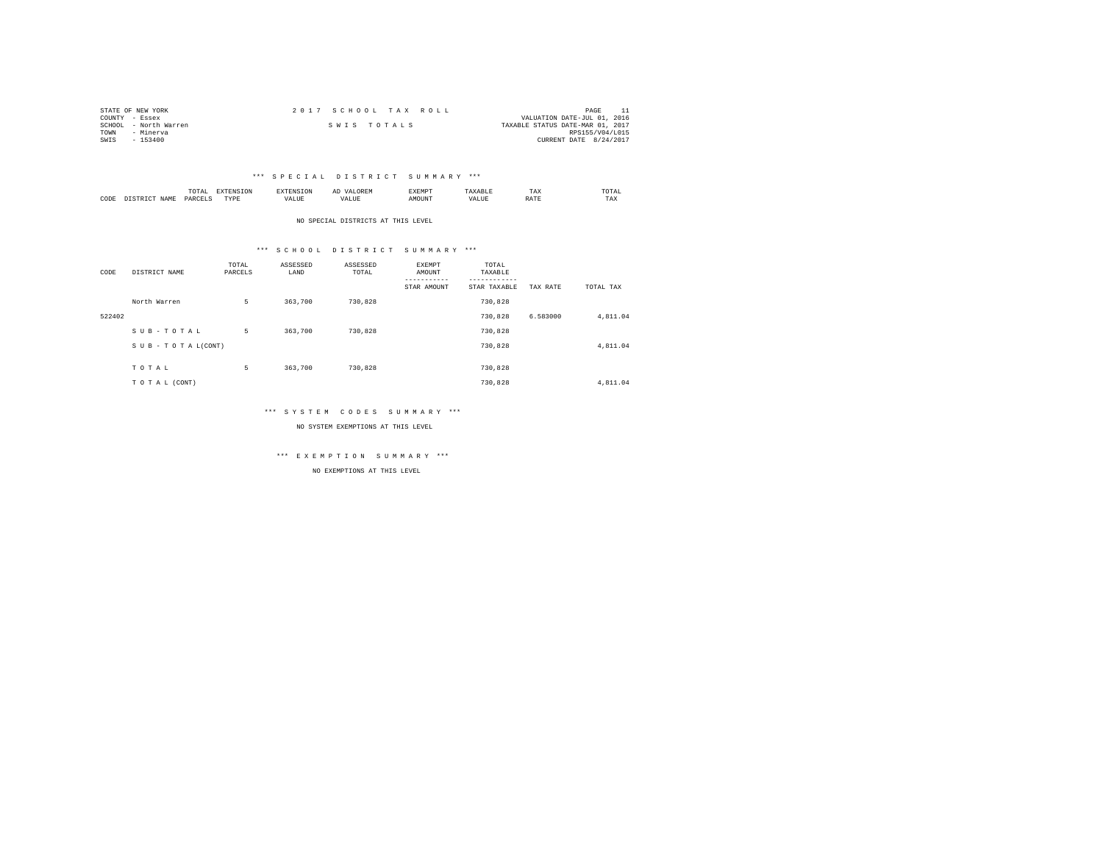| STATE OF NEW YORK     | 2017 SCHOOL TAX ROLL |             |                                  | PAGE            |  |
|-----------------------|----------------------|-------------|----------------------------------|-----------------|--|
| COUNTY - Essex        |                      |             | VALUATION DATE-JUL 01, 2016      |                 |  |
| SCHOOL - North Warren |                      | SWIS TOTALS | TAXABLE STATUS DATE-MAR 01, 2017 |                 |  |
| TOWN<br>- Minerva     |                      |             |                                  | RPS155/V04/L015 |  |
| $-153400$<br>SWIS     |                      |             | CURRENT DATE 8/24/2017           |                 |  |

|           |                      | 1 U 1 M 1<br>the contract of the contract of the contract of | ---------------  |      | $\sim$<br>. |   | 1 A.A        | 'UIA.<br>the contract of the contract of the contract of |
|-----------|----------------------|--------------------------------------------------------------|------------------|------|-------------|---|--------------|----------------------------------------------------------|
| CODE<br>. | <b>NAME</b><br>11.12 | レムト                                                          | <b>TIDE</b><br>. | ALUE |             | n | <b>Shown</b> | TAX                                                      |

NO SPECIAL DISTRICTS AT THIS LEVEL

### \*\*\* S C H O O L D I S T R I C T S U M M A R Y \*\*\*

| CODE   | DISTRICT NAME   | TOTAL<br>PARCELS | ASSESSED<br>LAND | ASSESSED<br>TOTAL | EXEMPT<br>AMOUNT<br>-----------<br>STAR AMOUNT | TOTAL<br>TAXABLE<br>---------<br>STAR TAXABLE | TAX RATE | TOTAL TAX |
|--------|-----------------|------------------|------------------|-------------------|------------------------------------------------|-----------------------------------------------|----------|-----------|
|        | North Warren    | 5                | 363,700          | 730.828           |                                                | 730.828                                       |          |           |
| 522402 |                 |                  |                  |                   |                                                | 730.828                                       | 6.583000 | 4.811.04  |
|        | SUB-TOTAL       | 5                | 363,700          | 730.828           |                                                | 730.828                                       |          |           |
|        | SUB-TOTAL(CONT) |                  |                  |                   |                                                | 730.828                                       |          | 4.811.04  |
|        | TOTAL           | 5                | 363,700          | 730.828           |                                                | 730.828                                       |          |           |
|        | TO TAL (CONT)   |                  |                  |                   |                                                | 730.828                                       |          | 4.811.04  |

### \*\*\* S Y S T E M C O D E S S U M M A R Y \*\*\*

NO SYSTEM EXEMPTIONS AT THIS LEVEL

\*\*\* E X E M P T I O N S U M M A R Y \*\*\*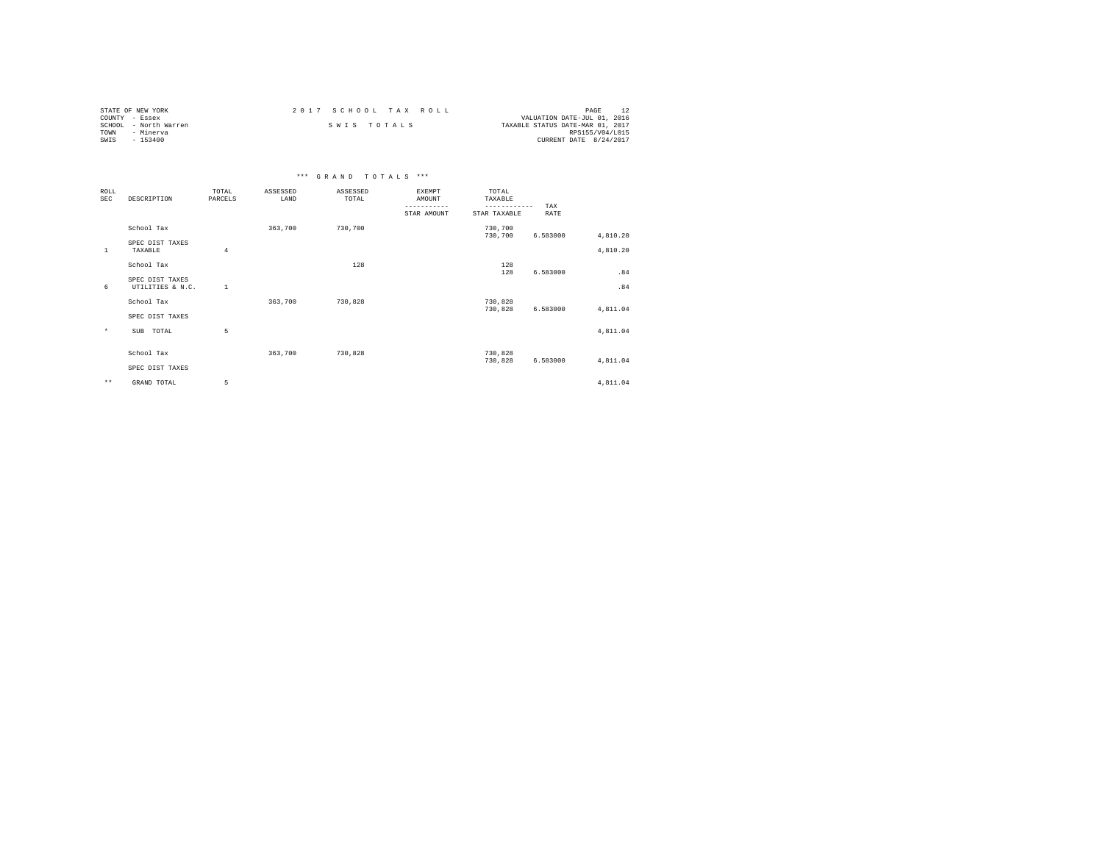| STATE OF NEW YORK     | 2017 SCHOOL TAX ROLL | PAGE                             |
|-----------------------|----------------------|----------------------------------|
| COUNTY - Essex        |                      | VALUATION DATE-JUL 01, 2016      |
| SCHOOL - North Warren | SWIS TOTALS          | TAXABLE STATUS DATE-MAR 01, 2017 |
| TOWN<br>- Minerva     |                      | RPS155/V04/L015                  |
| SWIS<br>- 153400      |                      | CURRENT DATE 8/24/2017           |

|                           |                                     |                  |                  | *** GRAND TOTALS *** |                                                       |                                                  |             |          |
|---------------------------|-------------------------------------|------------------|------------------|----------------------|-------------------------------------------------------|--------------------------------------------------|-------------|----------|
| <b>ROLL</b><br><b>SEC</b> | DESCRIPTION                         | TOTAL<br>PARCELS | ASSESSED<br>LAND | ASSESSED<br>TOTAL    | <b>EXEMPT</b><br>AMOUNT<br>-----------<br>STAR AMOUNT | TOTAL<br>TAXABLE<br>------------<br>STAR TAXABLE | TAX<br>RATE |          |
|                           | School Tax                          |                  | 363,700          | 730,700              |                                                       | 730,700<br>730,700                               | 6.583000    | 4,810.20 |
| $\mathbf{1}$              | SPEC DIST TAXES<br>TAXABLE          | 4                |                  |                      |                                                       |                                                  |             | 4,810.20 |
|                           | School Tax                          |                  |                  | 128                  |                                                       | 128<br>128                                       | 6.583000    | .84      |
| 6                         | SPEC DIST TAXES<br>UTILITIES & N.C. | <sup>1</sup>     |                  |                      |                                                       |                                                  |             | .84      |
|                           | School Tax<br>SPEC DIST TAXES       |                  | 363,700          | 730.828              |                                                       | 730,828<br>730,828                               | 6.583000    | 4,811.04 |
| $\star$                   | SUB<br>TOTAL                        | 5                |                  |                      |                                                       |                                                  |             | 4,811.04 |
|                           | School Tax<br>SPEC DIST TAXES       |                  | 363,700          | 730,828              |                                                       | 730,828<br>730,828                               | 6.583000    | 4,811.04 |
| $\star\star$              | GRAND TOTAL                         | 5                |                  |                      |                                                       |                                                  |             | 4,811.04 |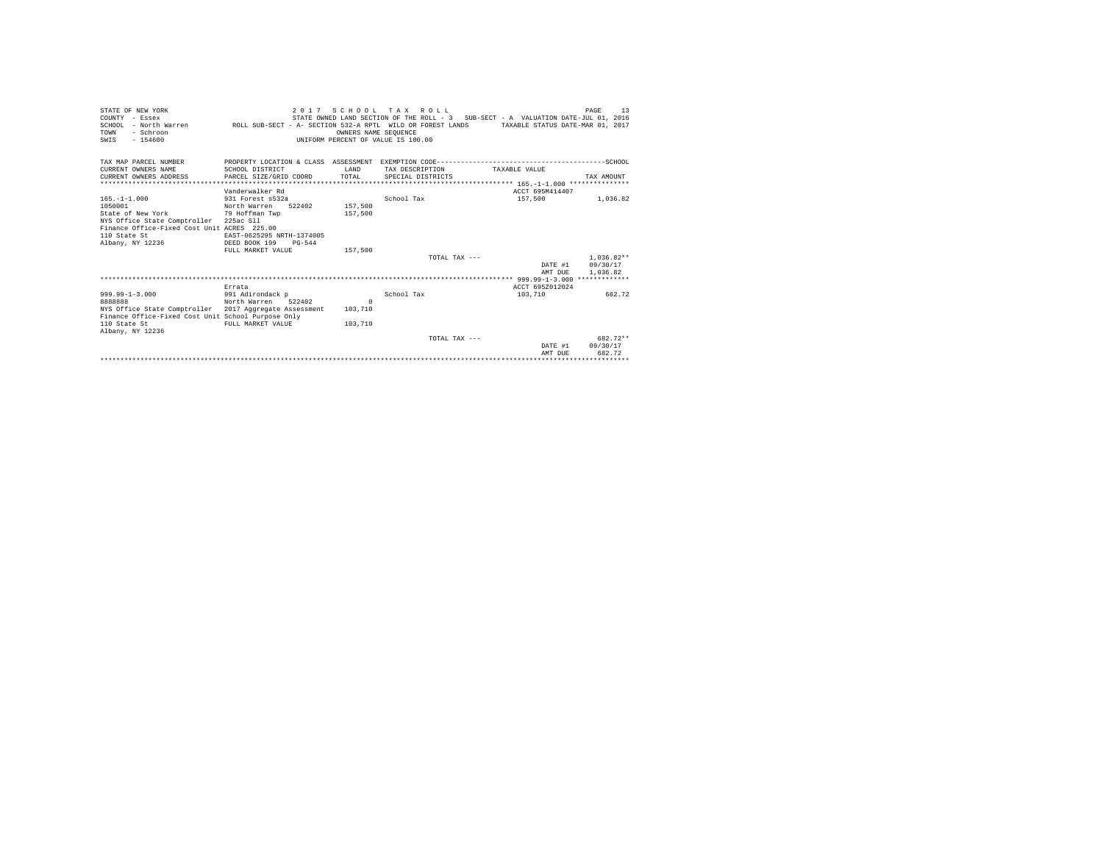| STATE OF NEW YORK<br>COUNTY - Essex<br>SCHOOL - North Warren ROLL SUB-SECT - A- SECTION 532-A RPTL WILD OR FOREST LANDS TAXABLE STATUS DATE-MAR 01, 2017<br>- Schroon<br>TOWN<br>$-154600$<br>SWIS |                                         | 2017<br>OWNERS NAME SEOUENCE<br>UNIFORM PERCENT OF VALUE IS 100.00 | SCHOOL TAX ROLL   | STATE OWNED LAND SECTION OF THE ROLL - 3 SUB-SECT - A VALUATION DATE-JUL 01, 2016            | 13<br>PAGE       |
|----------------------------------------------------------------------------------------------------------------------------------------------------------------------------------------------------|-----------------------------------------|--------------------------------------------------------------------|-------------------|----------------------------------------------------------------------------------------------|------------------|
| TAX MAP PARCEL NUMBER                                                                                                                                                                              |                                         |                                                                    |                   | PROPERTY LOCATION & CLASS ASSESSMENT EXEMPTION CODE-----------------------------------SCHOOL |                  |
| CURRENT OWNERS NAME                                                                                                                                                                                | SCHOOL DISTRICT                         | <b>T.AND</b>                                                       | TAX DESCRIPTION   | TAXABLE VALUE                                                                                |                  |
| CURRENT OWNERS ADDRESS                                                                                                                                                                             | PARCEL SIZE/GRID COORD                  | TOTAL                                                              | SPECIAL DISTRICTS |                                                                                              | TAX AMOUNT       |
|                                                                                                                                                                                                    |                                         |                                                                    |                   |                                                                                              |                  |
|                                                                                                                                                                                                    | Vanderwalker Rd                         |                                                                    |                   | ACCT 695M414407                                                                              |                  |
| $165. - 1 - 1.000$                                                                                                                                                                                 | 931 Forest s532a                        |                                                                    | School Tax        | 157,500                                                                                      | 1,036.82         |
| 1050001                                                                                                                                                                                            | North Warren                            | 157,500<br>522402                                                  |                   |                                                                                              |                  |
| State of New York<br>NYS Office State Comptroller 225ac Sll                                                                                                                                        | 79 Hoffman Twp                          | 157.500                                                            |                   |                                                                                              |                  |
| Finance Office-Fixed Cost Unit ACRES 225.00                                                                                                                                                        |                                         |                                                                    |                   |                                                                                              |                  |
| 110 State St                                                                                                                                                                                       | EAST-0625295 NRTH-1374005               |                                                                    |                   |                                                                                              |                  |
| Albany, NY 12236                                                                                                                                                                                   | DEED BOOK 199<br>$PG-544$               |                                                                    |                   |                                                                                              |                  |
|                                                                                                                                                                                                    | FULL MARKET VALUE                       | 157,500                                                            |                   |                                                                                              |                  |
|                                                                                                                                                                                                    |                                         |                                                                    | TOTAL TAX $---$   |                                                                                              | $1.036.82**$     |
|                                                                                                                                                                                                    |                                         |                                                                    |                   |                                                                                              | DATE #1 09/30/17 |
|                                                                                                                                                                                                    |                                         |                                                                    |                   | AMT DUE                                                                                      | 1,036.82         |
|                                                                                                                                                                                                    |                                         |                                                                    |                   |                                                                                              |                  |
|                                                                                                                                                                                                    | Errata                                  |                                                                    |                   | ACCT 695Z012024                                                                              |                  |
| $999.99 - 1 - 3.000$<br>8888888                                                                                                                                                                    | 991 Adirondack p<br>North Warren 522402 | $\Omega$                                                           | School Tax        | 103,710                                                                                      | 682.72           |
| NYS Office State Comptroller 2017 Aggregate Assessment                                                                                                                                             |                                         | 103,710                                                            |                   |                                                                                              |                  |
| Finance Office-Fixed Cost Unit School Purpose Only                                                                                                                                                 |                                         |                                                                    |                   |                                                                                              |                  |
| 110 State St                                                                                                                                                                                       | FULL MARKET VALUE                       | 103,710                                                            |                   |                                                                                              |                  |
| Albany, NY 12236                                                                                                                                                                                   |                                         |                                                                    |                   |                                                                                              |                  |
|                                                                                                                                                                                                    |                                         |                                                                    | TOTAL TAX ---     |                                                                                              | 682.72**         |
|                                                                                                                                                                                                    |                                         |                                                                    |                   | DATE #1                                                                                      | 09/30/17         |
|                                                                                                                                                                                                    |                                         |                                                                    |                   | AMT DUE                                                                                      | 682.72           |
|                                                                                                                                                                                                    |                                         |                                                                    |                   |                                                                                              |                  |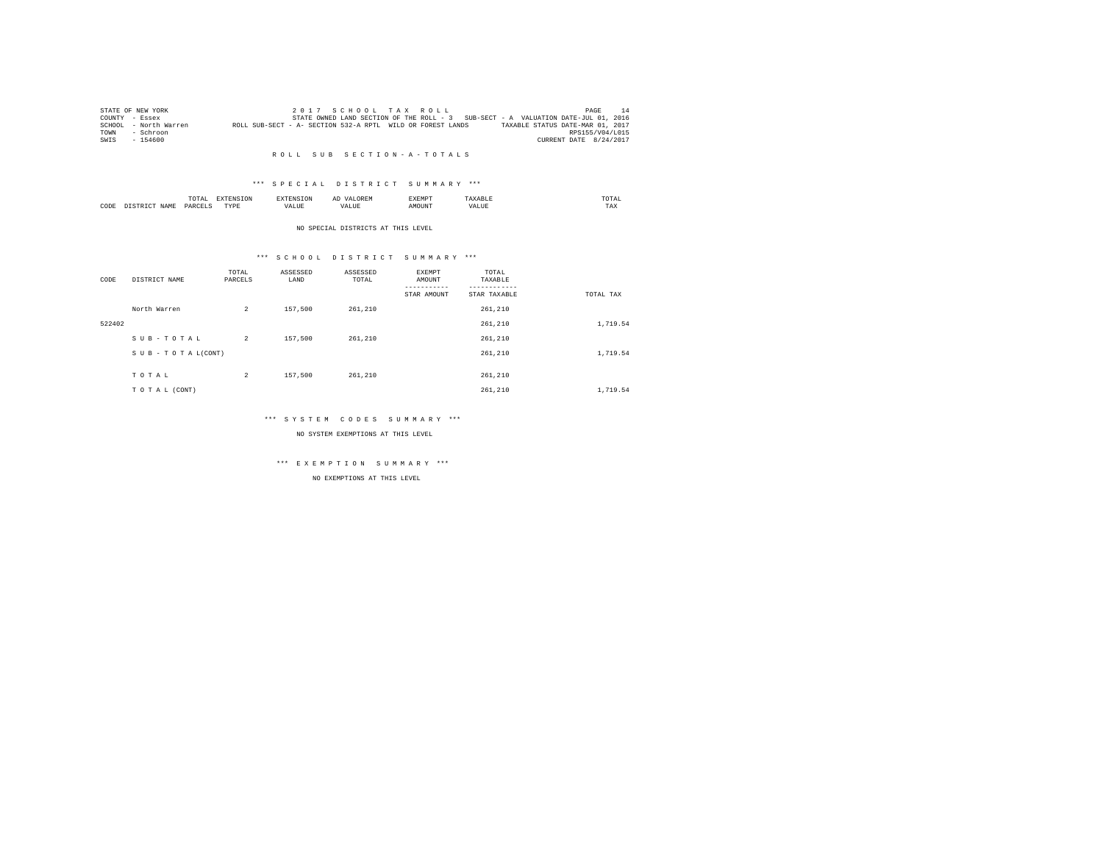|      | STATE OF NEW YORK     |                                                            |  |  | 2017 SCHOOL TAX ROLL |                                                                                   |                                  | PAGE                   | 14 |
|------|-----------------------|------------------------------------------------------------|--|--|----------------------|-----------------------------------------------------------------------------------|----------------------------------|------------------------|----|
|      | COUNTY - Essex        |                                                            |  |  |                      | STATE OWNED LAND SECTION OF THE ROLL - 3 SUB-SECT - A VALUATION DATE-JUL 01, 2016 |                                  |                        |    |
|      | SCHOOL - North Warren | ROLL SUB-SECT - A- SECTION 532-A RPTL WILD OR FOREST LANDS |  |  |                      |                                                                                   | TAXABLE STATUS DATE-MAR 01, 2017 |                        |    |
| TOWN | - Schroon             |                                                            |  |  |                      |                                                                                   |                                  | RPS155/V04/L015        |    |
| SWIS | $-154600$             |                                                            |  |  |                      |                                                                                   |                                  | CURRENT DATE 8/24/2017 |    |

### \*\*\* S P E C I A L D I S T R I C T S U M M A R Y \*\*\*

|      |             | ----<br>TOTAI |          | $\sim$<br>  | <b>YEMP</b> |      | TA.<br>the contract of the contract of the contract of |  |
|------|-------------|---------------|----------|-------------|-------------|------|--------------------------------------------------------|--|
| CODE | <b>CAM"</b> | DARCE"        | 'VD<br>. | $ -$<br>1 D | אנונ        | $ -$ | $- - -$<br>1 A.A                                       |  |

#### NO SPECIAL DISTRICTS AT THIS LEVEL

### \*\*\* S C H O O L D I S T R I C T S U M M A R Y \*\*\*

| CODE   | DISTRICT NAME   | TOTAL<br>PARCELS | ASSESSED<br>LAND | ASSESSED<br>TOTAL | EXEMPT<br>AMOUNT | TOTAL<br>TAXABLE        |           |
|--------|-----------------|------------------|------------------|-------------------|------------------|-------------------------|-----------|
|        | North Warren    | $\overline{a}$   | 157,500          | 261.210           | STAR AMOUNT      | STAR TAXABLE<br>261,210 | TOTAL TAX |
| 522402 |                 |                  |                  |                   |                  | 261,210                 | 1,719.54  |
|        | SUB-TOTAL       | $\overline{2}$   | 157,500          | 261,210           |                  | 261,210                 |           |
|        | SUB-TOTAL(CONT) |                  |                  |                   |                  | 261,210                 | 1,719.54  |
|        | TOTAL           | $\overline{c}$   | 157,500          | 261,210           |                  | 261,210                 |           |
|        | TO TAL (CONT)   |                  |                  |                   |                  | 261,210                 | 1,719.54  |

### \*\*\* S Y S T E M C O D E S S U M M A R Y \*\*\*

NO SYSTEM EXEMPTIONS AT THIS LEVEL

## \*\*\* E X E M P T I O N S U M M A R Y \*\*\*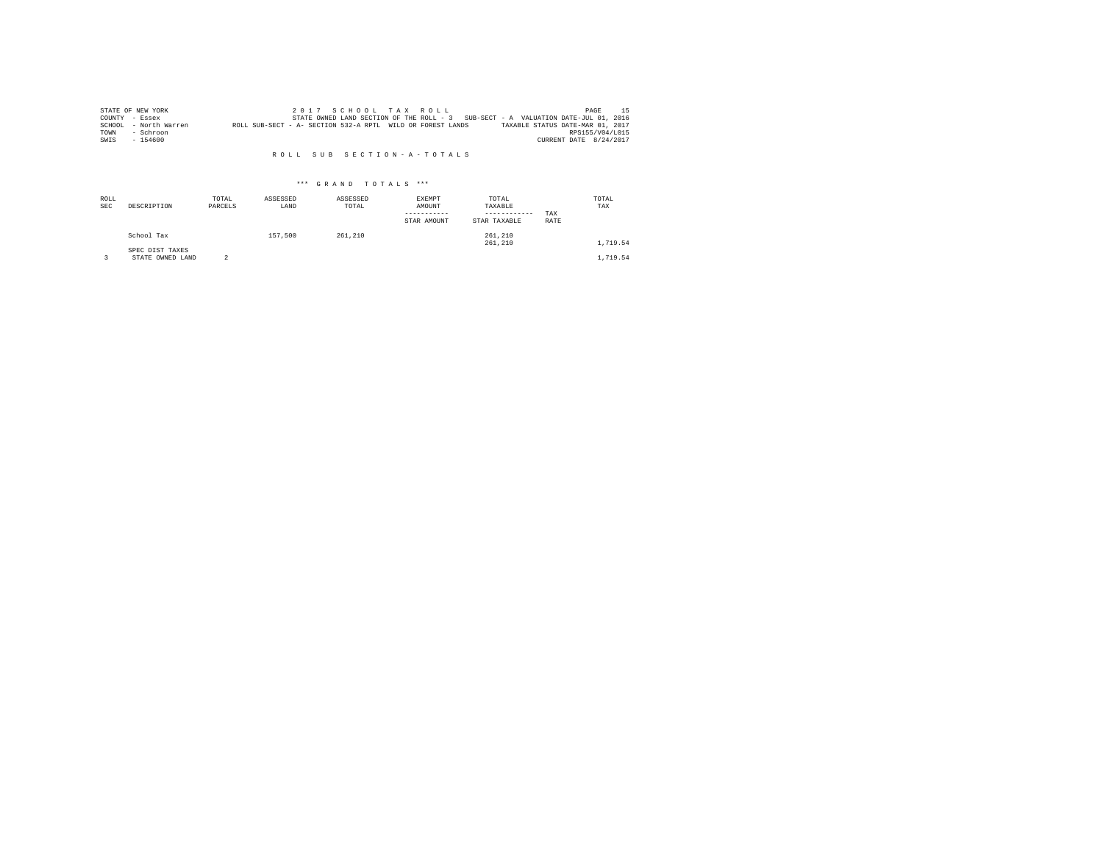|      | STATE OF NEW YORK     |                                                            |  |  | 2017 SCHOOL TAX ROLL |                                                                                   | PAGE                   |  |
|------|-----------------------|------------------------------------------------------------|--|--|----------------------|-----------------------------------------------------------------------------------|------------------------|--|
|      | COUNTY - Essex        |                                                            |  |  |                      | STATE OWNED LAND SECTION OF THE ROLL - 3 SUB-SECT - A VALUATION DATE-JUL 01, 2016 |                        |  |
|      | SCHOOL - North Warren | ROLL SUB-SECT - A- SECTION 532-A RPTL WILD OR FOREST LANDS |  |  |                      | TAXABLE STATUS DATE-MAR 01, 2017                                                  |                        |  |
| TOWN | - Schroon             |                                                            |  |  |                      |                                                                                   | RPS155/V04/L015        |  |
| SWIS | $-154600$             |                                                            |  |  |                      |                                                                                   | CURRENT DATE 8/24/2017 |  |

| ROLL<br><b>SEC</b> | DESCRIPTION                         | TOTAL<br>PARCELS | ASSESSED<br>LAND | ASSESSED<br>TOTAL | EXEMPT<br>AMOUNT<br>STAR AMOUNT | TOTAL<br>TAXABLE<br>------------<br>STAR TAXABLE | TAX<br>RATE | TOTAL<br>TAX |
|--------------------|-------------------------------------|------------------|------------------|-------------------|---------------------------------|--------------------------------------------------|-------------|--------------|
|                    | School Tax                          |                  | 157,500          | 261,210           |                                 | 261,210<br>261,210                               |             | 1,719.54     |
|                    | SPEC DIST TAXES<br>STATE OWNED LAND |                  |                  |                   |                                 |                                                  |             | 1,719.54     |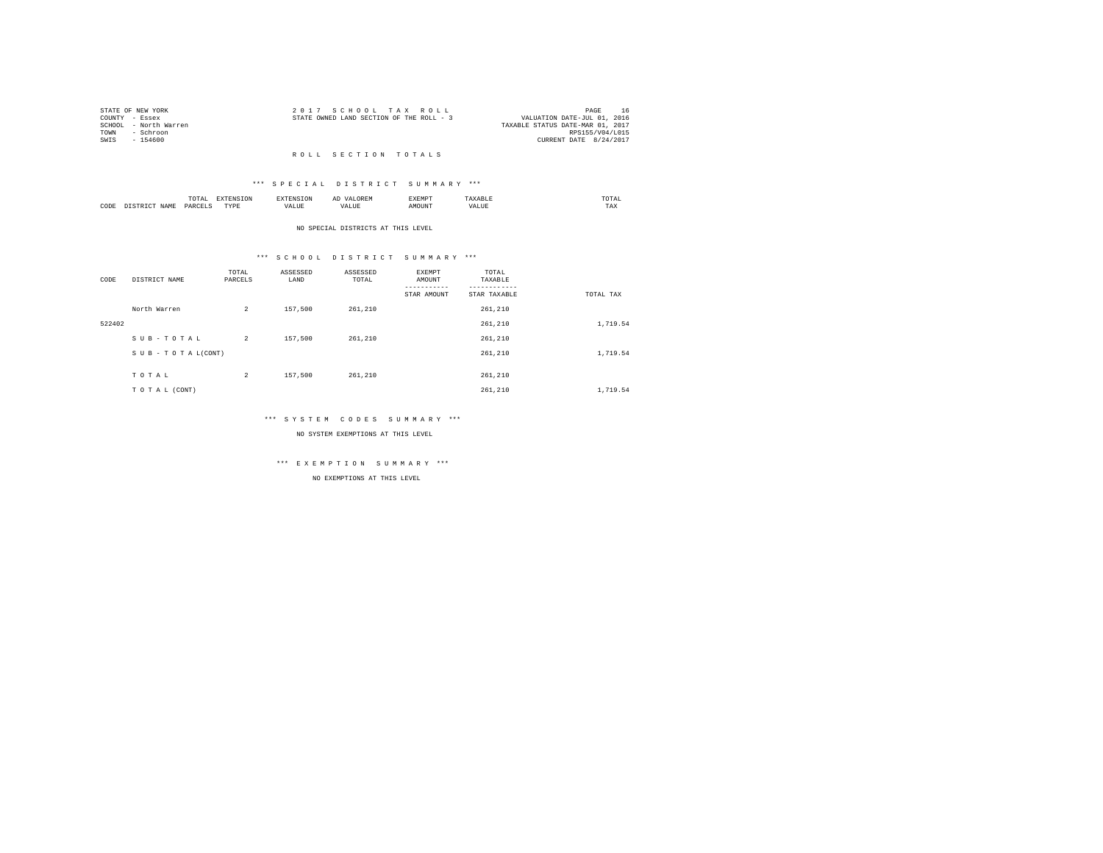|      | STATE OF NEW YORK     | 2017 SCHOOL TAX ROLL                     | PAGE                        | 16 |
|------|-----------------------|------------------------------------------|-----------------------------|----|
|      | COUNTY - Essex        | STATE OWNED LAND SECTION OF THE ROLL - 3 | VALUATION DATE-JUL 01, 2016 |    |
|      | SCHOOL - North Warren | TAXABLE STATUS DATE-MAR 01, 2017         |                             |    |
| TOWN | - Schroon             |                                          | RPS155/V04/L015             |    |
| SWTS | $-154600$             |                                          | CURRENT DATE 8/24/2017      |    |

#### R O L L S E C T I O N T O T A L S

### \*\*\* S P E C I A L D I S T R I C T S U M M A R Y \*\*\*

|      |         | .<br>the contract of the contract of the contract of |          |    | -<br>しいじょ | 2 M L 21 |      | ∪⊥≞∟<br>the contract of the contract of the contract of |
|------|---------|------------------------------------------------------|----------|----|-----------|----------|------|---------------------------------------------------------|
| CODE | 21 A An | OAR<br>$\sim$                                        | TVD<br>. | ,, |           |          | 1111 | 1 A.A                                                   |

#### NO SPECIAL DISTRICTS AT THIS LEVEL

### \*\*\* S C H O O L D I S T R I C T S U M M A R Y \*\*\*

| CODE   | DISTRICT NAME      | TOTAL<br>PARCELS | ASSESSED<br>LAND | ASSESSED<br>TOTAL | EXEMPT<br>AMOUNT | TOTAL<br>TAXABLE |           |
|--------|--------------------|------------------|------------------|-------------------|------------------|------------------|-----------|
|        |                    |                  |                  |                   | STAR AMOUNT      | STAR TAXABLE     | TOTAL TAX |
|        | North Warren       | $\overline{a}$   | 157,500          | 261,210           |                  | 261,210          |           |
| 522402 |                    |                  |                  |                   |                  | 261,210          | 1,719.54  |
|        | SUB-TOTAL          | $\overline{2}$   | 157,500          | 261,210           |                  | 261,210          |           |
|        | SUB - TO TAL(CONT) |                  |                  |                   |                  | 261,210          | 1,719.54  |
|        |                    |                  |                  |                   |                  |                  |           |
|        | TOTAL              | $\overline{c}$   | 157,500          | 261,210           |                  | 261,210          |           |
|        | TO TAL (CONT)      |                  |                  |                   |                  | 261,210          | 1,719.54  |

### \*\*\* S Y S T E M C O D E S S U M M A R Y \*\*\*

NO SYSTEM EXEMPTIONS AT THIS LEVEL

## \*\*\* E X E M P T I O N S U M M A R Y \*\*\*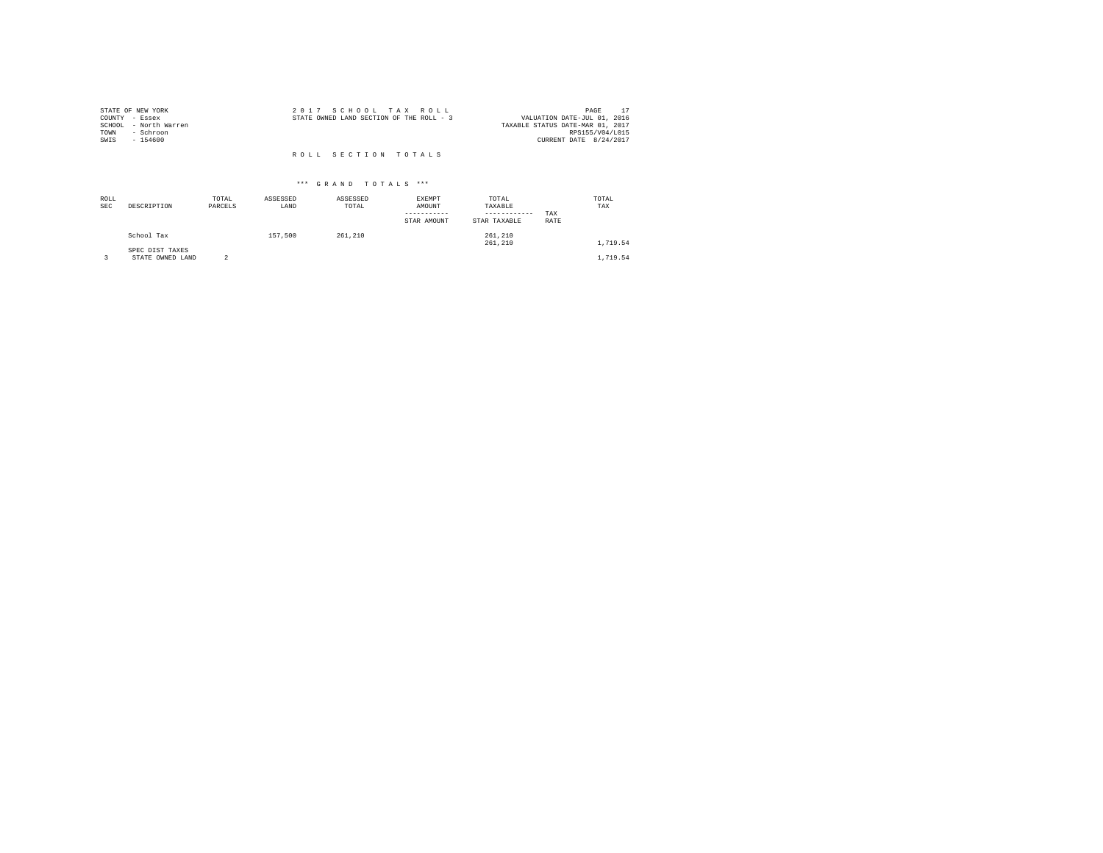| STATE OF NEW YORK     | 2017 SCHOOL TAX ROLL                     | PAGE                             |
|-----------------------|------------------------------------------|----------------------------------|
| COUNTY - Essex        | STATE OWNED LAND SECTION OF THE ROLL - 3 | VALUATION DATE-JUL 01, 2016      |
| SCHOOL - North Warren |                                          | TAXABLE STATUS DATE-MAR 01, 2017 |
| TOWN<br>- Schroon     |                                          | RPS155/V04/L015                  |
| SWIS<br>$-154600$     |                                          | CURRENT DATE 8/24/2017           |
|                       |                                          |                                  |
|                       | ROLL SECTION TOTALS                      |                                  |

| ROLL<br><b>SEC</b> | DESCRIPTION                   | TOTAL<br>PARCELS | ASSESSED<br>LAND | ASSESSED<br>TOTAL | EXEMPT<br>AMOUNT<br>-----------<br>STAR AMOUNT | TOTAL<br>TAXABLE<br>------------<br>STAR TAXABLE | TAX<br>RATE | TOTAL<br>TAX |  |
|--------------------|-------------------------------|------------------|------------------|-------------------|------------------------------------------------|--------------------------------------------------|-------------|--------------|--|
|                    | School Tax<br>SPEC DIST TAXES |                  | 157.500          | 261,210           |                                                | 261,210<br>261,210                               |             | 1,719.54     |  |
|                    | STATE OWNED LAND              | 2                |                  |                   |                                                |                                                  |             | 1,719.54     |  |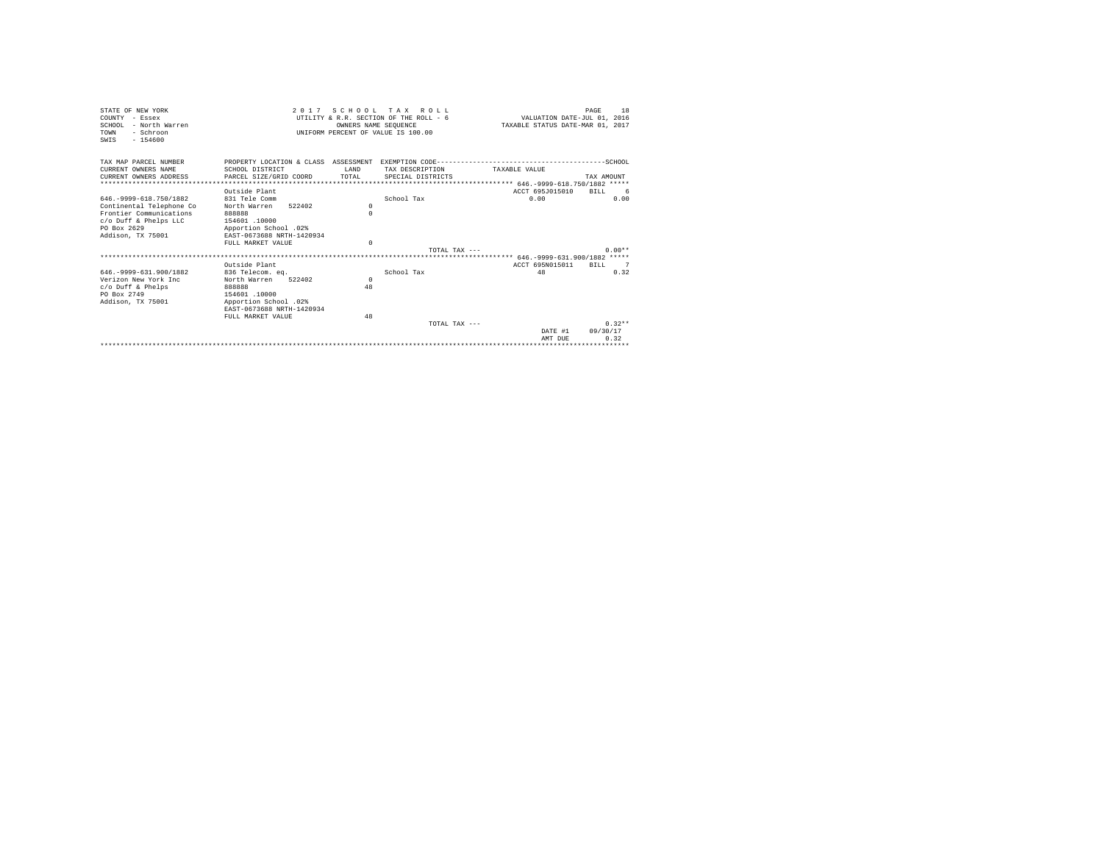| STATE OF NEW YORK<br>COUNTY - Essex<br>SCHOOL - North Warren<br>TOWN<br>- Schroon<br>$-154600$<br>SWTS |                                                    | 2017 SCHOOL TAX<br>OWNERS NAME SEOUENCE | R O T. T.<br>UTILITY & R.R. SECTION OF THE ROLL - 6<br>UNIFORM PERCENT OF VALUE IS 100.00 | VALUATION DATE-JUL 01, 2016<br>TAXABLE STATUS DATE-MAR 01, 2017 | 18<br>PAGE  |
|--------------------------------------------------------------------------------------------------------|----------------------------------------------------|-----------------------------------------|-------------------------------------------------------------------------------------------|-----------------------------------------------------------------|-------------|
| TAX MAP PARCEL NUMBER                                                                                  |                                                    |                                         |                                                                                           |                                                                 |             |
| CURRENT OWNERS NAME                                                                                    | SCHOOL DISTRICT                                    | <b>T.AND</b>                            | TAX DESCRIPTION                                                                           | TAXARLE VALUE                                                   |             |
| CURRENT OWNERS ADDRESS                                                                                 | PARCEL SIZE/GRID COORD                             | TOTAL                                   | SPECIAL DISTRICTS                                                                         |                                                                 | TAX AMOUNT  |
|                                                                                                        |                                                    |                                         |                                                                                           |                                                                 |             |
|                                                                                                        | Outside Plant                                      |                                         |                                                                                           | ACCT 695J015010                                                 | BTLL<br>- 6 |
| 646. - 9999 - 618. 750/1882                                                                            | 831 Tele Comm                                      |                                         | School Tax                                                                                | 0.00                                                            | 0.00        |
| Continental Telephone Co                                                                               | 522402<br>North Warren                             | $\Omega$                                |                                                                                           |                                                                 |             |
| Frontier Communications                                                                                | 888888                                             | $\Omega$                                |                                                                                           |                                                                 |             |
| c/o Duff & Phelps LLC                                                                                  | 154601.10000                                       |                                         |                                                                                           |                                                                 |             |
| PO Box 2629<br>Addison, TX 75001                                                                       | Apportion School .02%<br>EAST-0673688 NRTH-1420934 |                                         |                                                                                           |                                                                 |             |
|                                                                                                        | FULL MARKET VALUE                                  | $\Omega$                                |                                                                                           |                                                                 |             |
|                                                                                                        |                                                    |                                         | TOTAL TAX ---                                                                             |                                                                 | $0.00**$    |
|                                                                                                        |                                                    |                                         |                                                                                           |                                                                 |             |
|                                                                                                        | Outside Plant                                      |                                         |                                                                                           | ACCT 695N015011                                                 | RTLL 7      |
| 646. - 9999 - 631. 900/1882                                                                            | 836 Telecom. eq.                                   |                                         | School Tax                                                                                | 48                                                              | 0.32        |
| Verizon New York Inc.                                                                                  | North Warren<br>522402                             | $\mathbf{r}$                            |                                                                                           |                                                                 |             |
| $c$ /o Duff & Phelps                                                                                   | 888888                                             | 48                                      |                                                                                           |                                                                 |             |
| PO Box 2749                                                                                            | 154601 .10000                                      |                                         |                                                                                           |                                                                 |             |
| Addison, TX 75001                                                                                      | Apportion School .02%                              |                                         |                                                                                           |                                                                 |             |
|                                                                                                        | EAST-0673688 NRTH-1420934                          |                                         |                                                                                           |                                                                 |             |
|                                                                                                        | FULL MARKET VALUE                                  | 48                                      |                                                                                           |                                                                 |             |
|                                                                                                        |                                                    |                                         | TOTAL TAX $---$                                                                           |                                                                 | $0.32**$    |
|                                                                                                        |                                                    |                                         |                                                                                           | DATE #1                                                         | 09/30/17    |
|                                                                                                        |                                                    |                                         |                                                                                           | AMT DUE                                                         | 0.32        |
|                                                                                                        |                                                    |                                         |                                                                                           |                                                                 |             |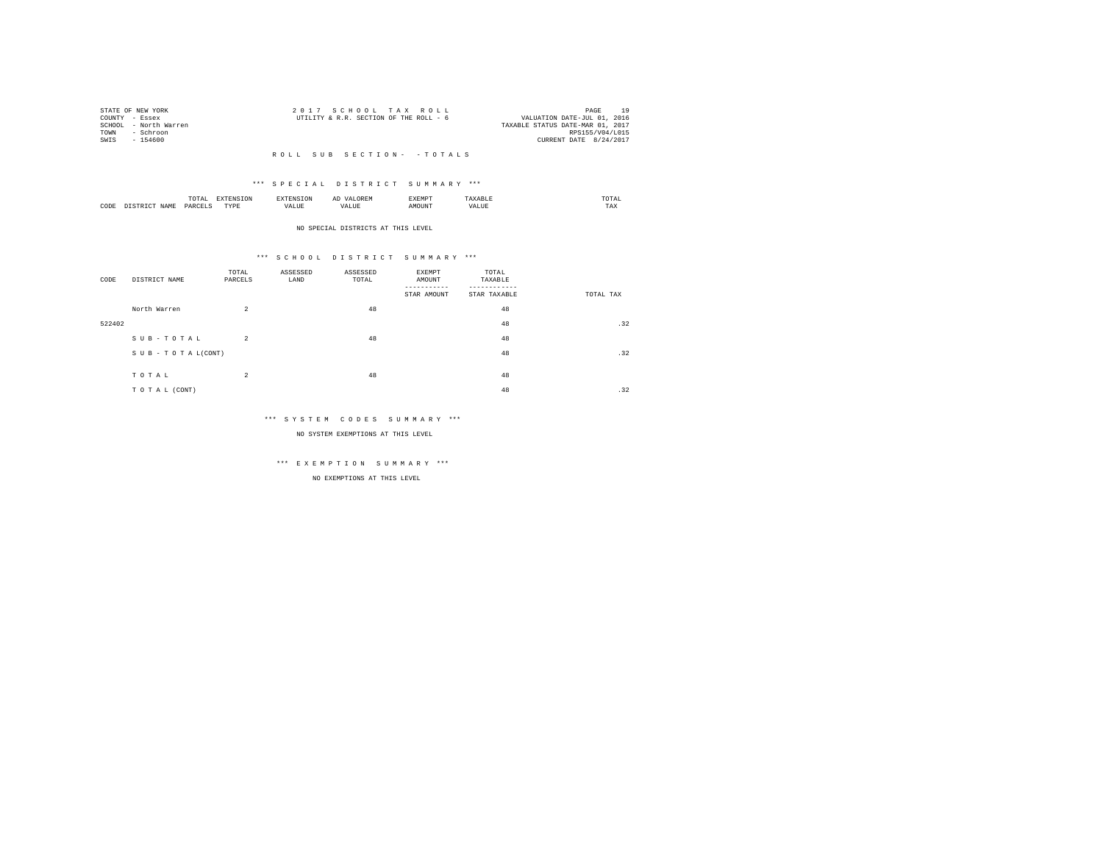| STATE OF NEW YORK     |           | 2017 SCHOOL TAX ROLL                   |  |                                  |                        | PAGE | 10 |
|-----------------------|-----------|----------------------------------------|--|----------------------------------|------------------------|------|----|
| COUNTY - Essex        |           | UTILITY & R.R. SECTION OF THE ROLL - 6 |  | VALUATION DATE-JUL 01, 2016      |                        |      |    |
| SCHOOL - North Warren |           |                                        |  | TAXABLE STATUS DATE-MAR 01, 2017 |                        |      |    |
| TOWN                  | - Schroon |                                        |  |                                  | RPS155/V04/L015        |      |    |
| SWIS<br>$-154600$     |           |                                        |  |                                  | CURRENT DATE 8/24/2017 |      |    |
|                       |           |                                        |  |                                  |                        |      |    |

### \*\*\* S P E C I A L D I S T R I C T S U M M A R Y \*\*\*

|      | .              | the contract of the contract of the contract of the contract of the contract of the contract of the contract of | ≖  | .    | the contract of the contract of the contract of |
|------|----------------|-----------------------------------------------------------------------------------------------------------------|----|------|-------------------------------------------------|
| CODE | ODP'<br>$\sim$ | .<br>.                                                                                                          | -- | ראטי | $1 - \Delta$                                    |

#### NO SPECIAL DISTRICTS AT THIS LEVEL

### \*\*\* S C H O O L D I S T R I C T S U M M A R Y \*\*\*

| CODE   | DISTRICT NAME   | TOTAL<br>PARCELS | ASSESSED<br>LAND | ASSESSED<br>TOTAL | EXEMPT<br>AMOUNT<br>STAR AMOUNT | TOTAL<br>TAXABLE<br>STAR TAXABLE | TOTAL TAX |
|--------|-----------------|------------------|------------------|-------------------|---------------------------------|----------------------------------|-----------|
|        | North Warren    | $\overline{2}$   |                  | 48                |                                 | 48                               |           |
| 522402 |                 |                  |                  |                   |                                 | 48                               | .32       |
|        | SUB-TOTAL       | $\overline{2}$   |                  | 48                |                                 | 48                               |           |
|        | SUB-TOTAL(CONT) |                  |                  |                   |                                 | 48                               | .32       |
|        | TOTAL           | $\overline{a}$   |                  | 48                |                                 | 48                               |           |
|        |                 |                  |                  |                   |                                 |                                  |           |
|        | TO TAL (CONT)   |                  |                  |                   |                                 | 48                               | .32       |

### \*\*\* S Y S T E M C O D E S S U M M A R Y \*\*\*

NO SYSTEM EXEMPTIONS AT THIS LEVEL

# \*\*\* E X E M P T I O N S U M M A R Y \*\*\*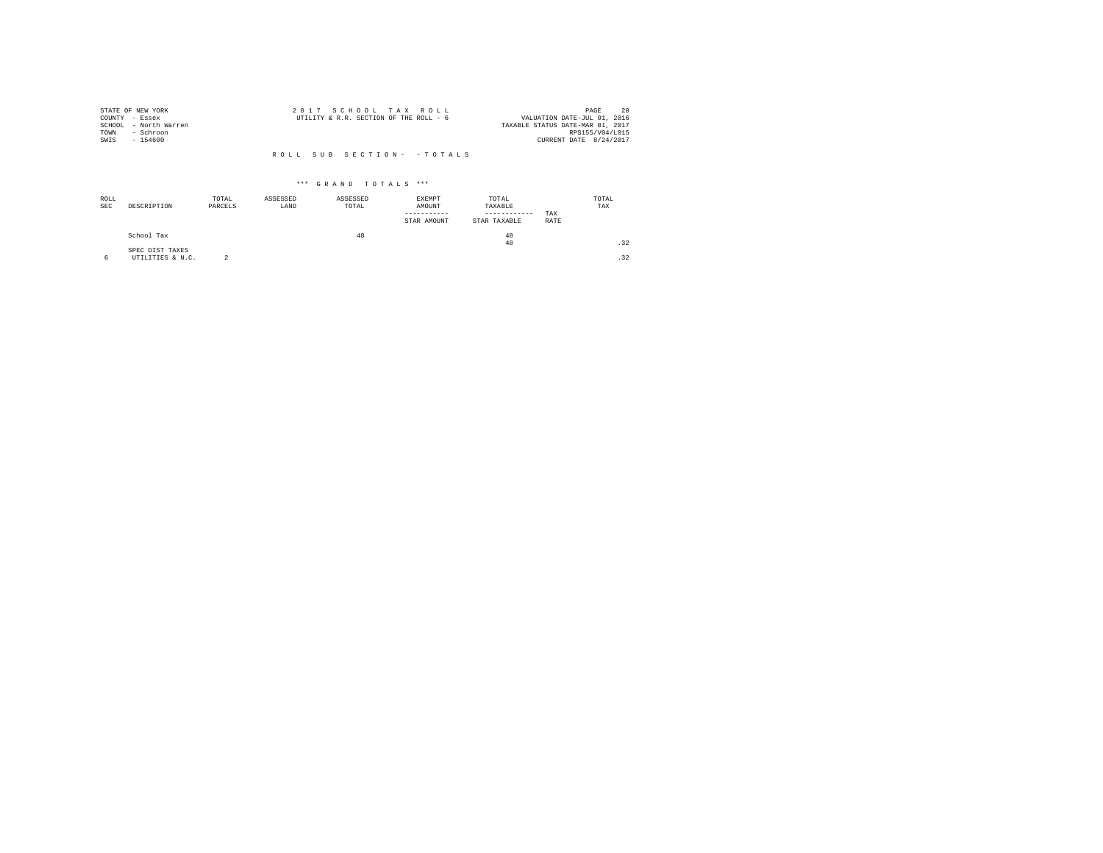| STATE OF NEW YORK     | 2017 SCHOOL TAX ROLL                   | 20<br>PAGE                       |
|-----------------------|----------------------------------------|----------------------------------|
| COUNTY - Essex        | UTILITY & R.R. SECTION OF THE ROLL - 6 | VALUATION DATE-JUL 01, 2016      |
| SCHOOL - North Warren |                                        | TAXABLE STATUS DATE-MAR 01, 2017 |
| TOWN<br>- Schroon     |                                        | RPS155/V04/L015                  |
| SWIS<br>- 154600      |                                        | CURRENT DATE 8/24/2017           |
|                       |                                        |                                  |
|                       | ROLL SUB SECTION- - TOTALS             |                                  |

| ROLL<br><b>SEC</b> | DESCRIPTION                         | TOTAL<br>PARCELS | ASSESSED<br>LAND | ASSESSED<br>TOTAL | EXEMPT<br>AMOUNT<br>-----------<br>STAR AMOUNT | TOTAL<br>TAXABLE<br>------------<br>STAR TAXABLE | TAX<br>RATE | TOTAL<br>TAX |
|--------------------|-------------------------------------|------------------|------------------|-------------------|------------------------------------------------|--------------------------------------------------|-------------|--------------|
|                    | School Tax                          |                  |                  | 48                |                                                | 48<br>48                                         |             | .32          |
| 6                  | SPEC DIST TAXES<br>UTILITIES & N.C. | $\sim$           |                  |                   |                                                |                                                  |             | .32          |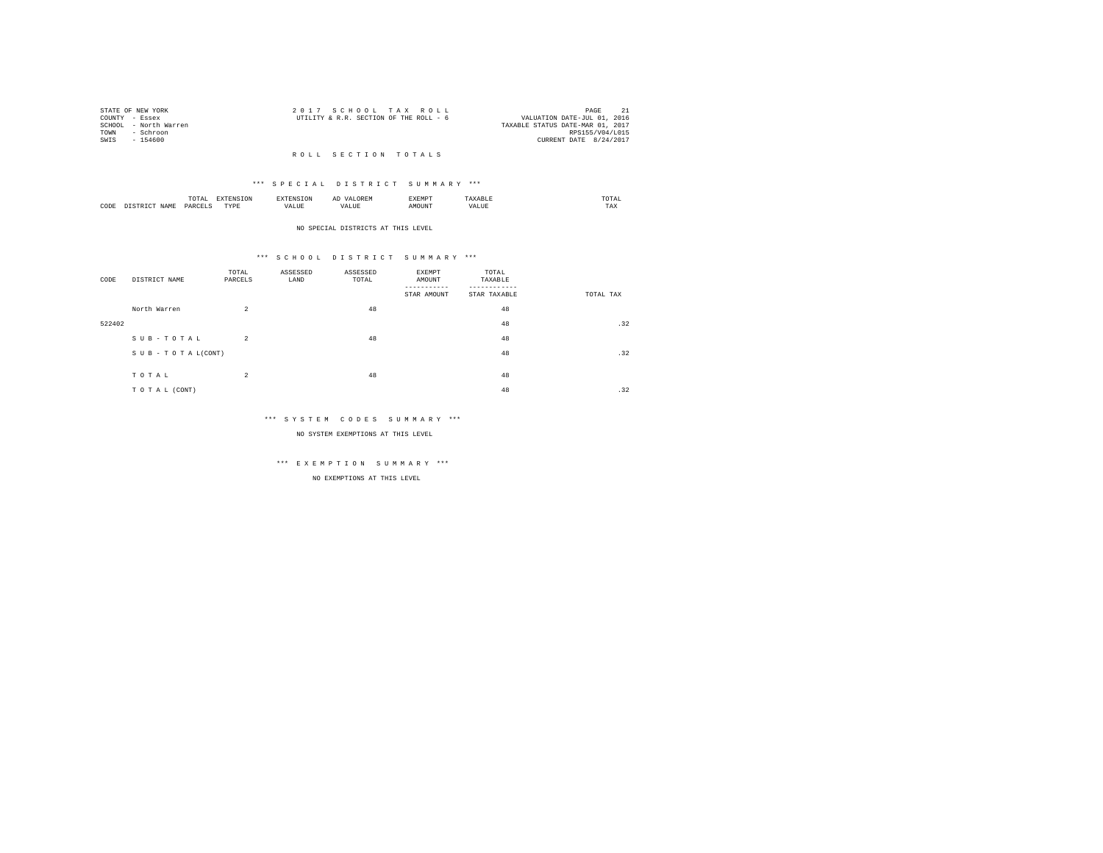|      | STATE OF NEW YORK     | 2017 SCHOOL TAX ROLL                   | PAGE                             |
|------|-----------------------|----------------------------------------|----------------------------------|
|      | COUNTY - Essex        | UTILITY & R.R. SECTION OF THE ROLL - 6 | VALUATION DATE-JUL 01, 2016      |
|      | SCHOOL - North Warren |                                        | TAXABLE STATUS DATE-MAR 01, 2017 |
| TOWN | - Schroon             |                                        | RPS155/V04/L015                  |
| SWTS | $-154600$             |                                        | CURRENT DATE 8/24/2017           |

### R O L L S E C T I O N T O T A L S

### \*\*\* S P E C I A L D I S T R I C T S U M M A R Y \*\*\*

|      | / L A L<br>the contract of the contract of the contract of | ----      |  | ----- | $m \wedge m \wedge$<br>the contract of the contract of the contract of |
|------|------------------------------------------------------------|-----------|--|-------|------------------------------------------------------------------------|
| CODE | DAR:<br>$\sim$                                             | TVDk<br>. |  | MOUN. | 1'AX                                                                   |

#### NO SPECIAL DISTRICTS AT THIS LEVEL

### \*\*\* S C H O O L D I S T R I C T S U M M A R Y \*\*\*

| CODE   | DISTRICT NAME   | TOTAL<br>PARCELS | ASSESSED<br>LAND | ASSESSED<br>TOTAL | EXEMPT<br>AMOUNT<br>STAR AMOUNT | TOTAL<br>TAXABLE<br>STAR TAXABLE | TOTAL TAX |
|--------|-----------------|------------------|------------------|-------------------|---------------------------------|----------------------------------|-----------|
|        | North Warren    | $\overline{2}$   |                  | 48                |                                 | 48                               |           |
| 522402 |                 |                  |                  |                   |                                 | 48                               | .32       |
|        | SUB-TOTAL       | $\overline{2}$   |                  | 48                |                                 | 48                               |           |
|        | SUB-TOTAL(CONT) |                  |                  |                   |                                 | 48                               | .32       |
|        | TOTAL           | $\overline{2}$   |                  | 48                |                                 | 48                               |           |
|        |                 |                  |                  |                   |                                 |                                  |           |
|        | TO TAL (CONT)   |                  |                  |                   |                                 | 48                               | .32       |

### \*\*\* S Y S T E M C O D E S S U M M A R Y \*\*\*

NO SYSTEM EXEMPTIONS AT THIS LEVEL

# \*\*\* E X E M P T I O N S U M M A R Y \*\*\*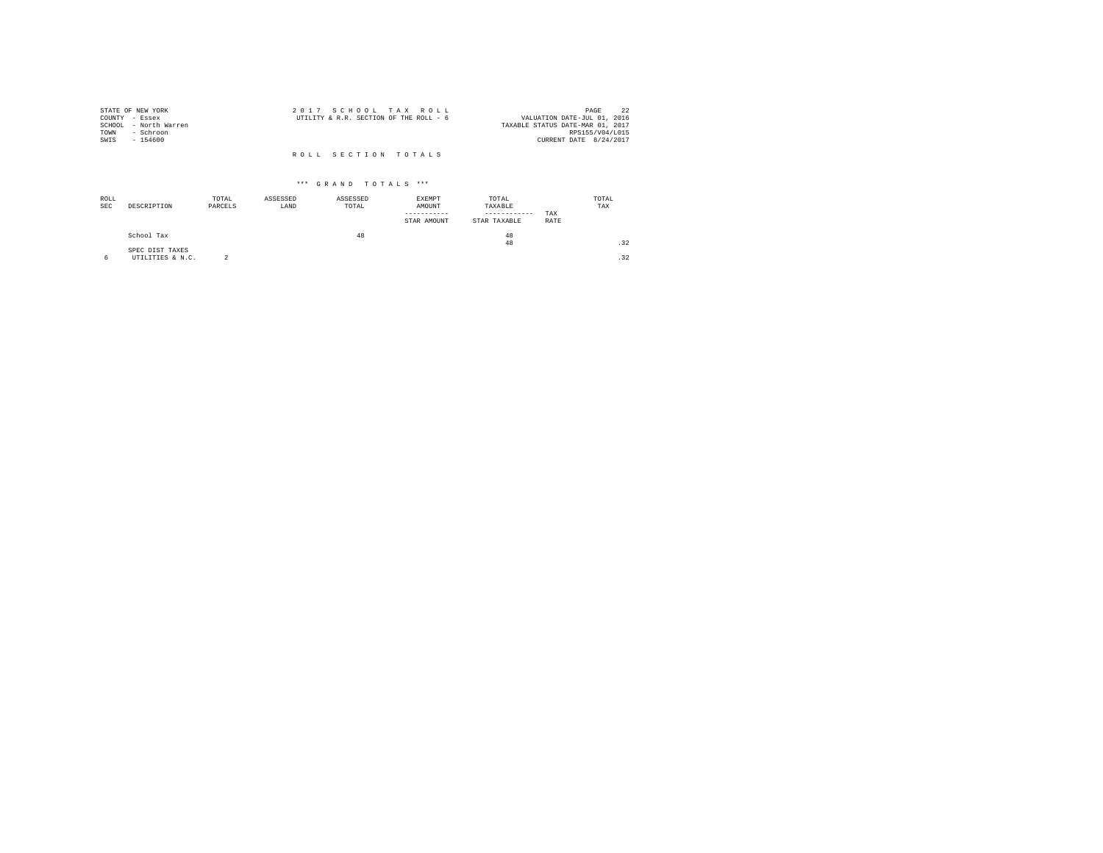|                | STATE OF NEW YORK     | 2017 SCHOOL TAX ROLL                                                  | PAGE            | 22 |
|----------------|-----------------------|-----------------------------------------------------------------------|-----------------|----|
| COUNTY - Essex |                       | VALUATION DATE-JUL 01, 2016<br>UTILITY & R.R. SECTION OF THE ROLL - 6 |                 |    |
|                | SCHOOL - North Warren | TAXABLE STATUS DATE-MAR 01, 2017                                      |                 |    |
| TOWN           | - Schroon             |                                                                       | RPS155/V04/L015 |    |
| SWIS           | $-154600$             | CURRENT DATE 8/24/2017                                                |                 |    |
|                |                       | ROLL SECTION TOTALS                                                   |                 |    |

| ROLL<br><b>SEC</b> | DESCRIPTION                         | TOTAL<br>PARCELS | ASSESSED<br>LAND | ASSESSED<br>TOTAL | EXEMPT<br>AMOUNT<br>STAR AMOUNT | TOTAL<br>TAXABLE<br>------------<br>STAR TAXABLE | TAX<br>RATE | TOTAL<br>TAX |
|--------------------|-------------------------------------|------------------|------------------|-------------------|---------------------------------|--------------------------------------------------|-------------|--------------|
|                    | School Tax                          |                  |                  | 48                |                                 | 48<br>48                                         |             | .32          |
| 6                  | SPEC DIST TAXES<br>UTILITIES & N.C. |                  |                  |                   |                                 |                                                  |             | .32          |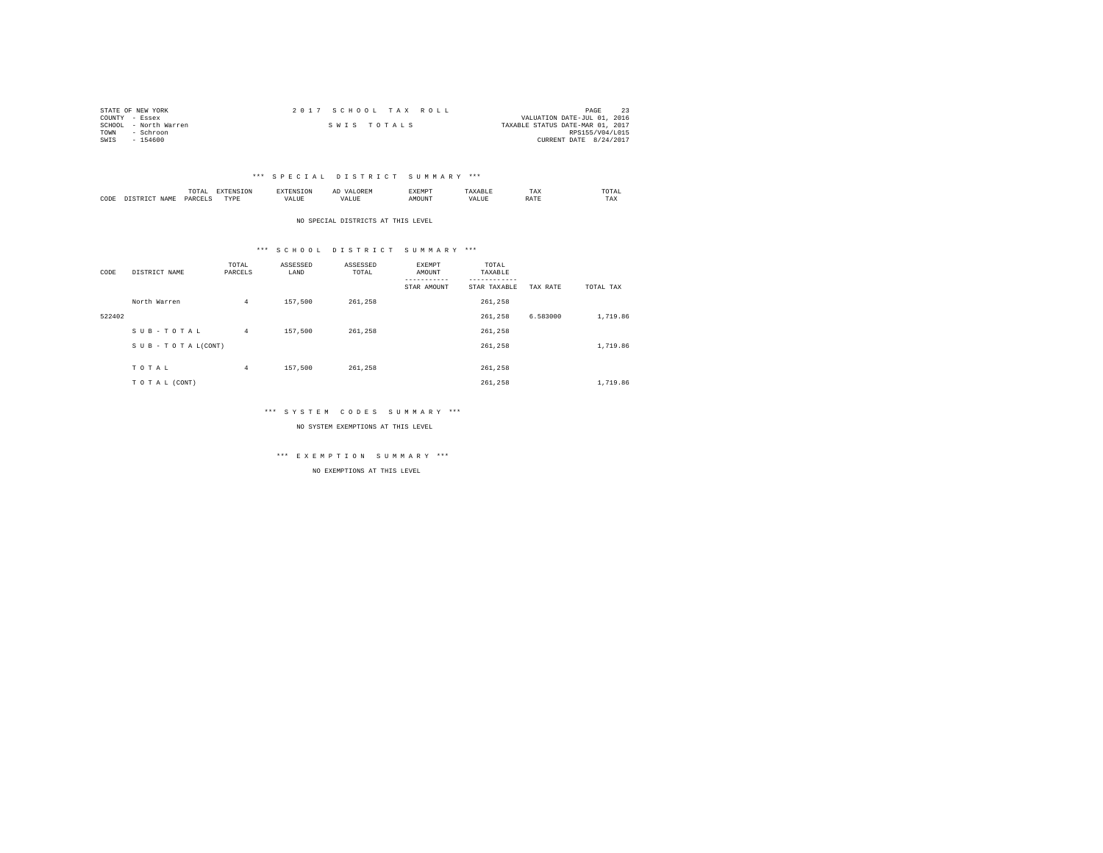| STATE OF NEW YORK     | 2017 SCHOOL TAX ROLL | PAGE                             |
|-----------------------|----------------------|----------------------------------|
| COUNTY - Essex        |                      | VALUATION DATE-JUL 01, 2016      |
| SCHOOL - North Warren | SWIS TOTALS          | TAXABLE STATUS DATE-MAR 01, 2017 |
| TOWN<br>- Schroon     |                      | RPS155/V04/L015                  |
| $-154600$<br>SWIS     |                      | CURRENT DATE 8/24/2017           |

|           |                      | 1 U 1 M 1<br>the contract of the contract of the contract of | ---------------  |      | $\sim$<br>. |   | 1 A.A        | 'UIA.<br>the contract of the contract of the contract of |
|-----------|----------------------|--------------------------------------------------------------|------------------|------|-------------|---|--------------|----------------------------------------------------------|
| CODE<br>. | <b>NAME</b><br>11.12 | レムト                                                          | <b>TIDE</b><br>. | ALUE |             | n | <b>Shown</b> | TAX                                                      |

NO SPECIAL DISTRICTS AT THIS LEVEL

### \*\*\* S C H O O L D I S T R I C T S U M M A R Y \*\*\*

| CODE   | DISTRICT NAME   | TOTAL<br>PARCELS | ASSESSED<br>LAND | ASSESSED<br>TOTAL | EXEMPT<br>AMOUNT | TOTAL<br>TAXABLE<br>--------- |          |           |
|--------|-----------------|------------------|------------------|-------------------|------------------|-------------------------------|----------|-----------|
|        |                 |                  |                  |                   | STAR AMOUNT      | STAR TAXABLE                  | TAX RATE | TOTAL TAX |
|        | North Warren    | $\overline{4}$   | 157,500          | 261,258           |                  | 261,258                       |          |           |
| 522402 |                 |                  |                  |                   |                  | 261,258                       | 6.583000 | 1,719.86  |
|        | SUB-TOTAL       | $4^{\circ}$      | 157,500          | 261.258           |                  | 261.258                       |          |           |
|        | SUB-TOTAL(CONT) |                  |                  |                   |                  | 261,258                       |          | 1,719.86  |
|        |                 |                  |                  |                   |                  |                               |          |           |
|        | TOTAL           | $\overline{4}$   | 157,500          | 261.258           |                  | 261,258                       |          |           |
|        | TO TAL (CONT)   |                  |                  |                   |                  | 261.258                       |          | 1,719.86  |

### \*\*\* S Y S T E M C O D E S S U M M A R Y \*\*\*

NO SYSTEM EXEMPTIONS AT THIS LEVEL

\*\*\* E X E M P T I O N S U M M A R Y \*\*\*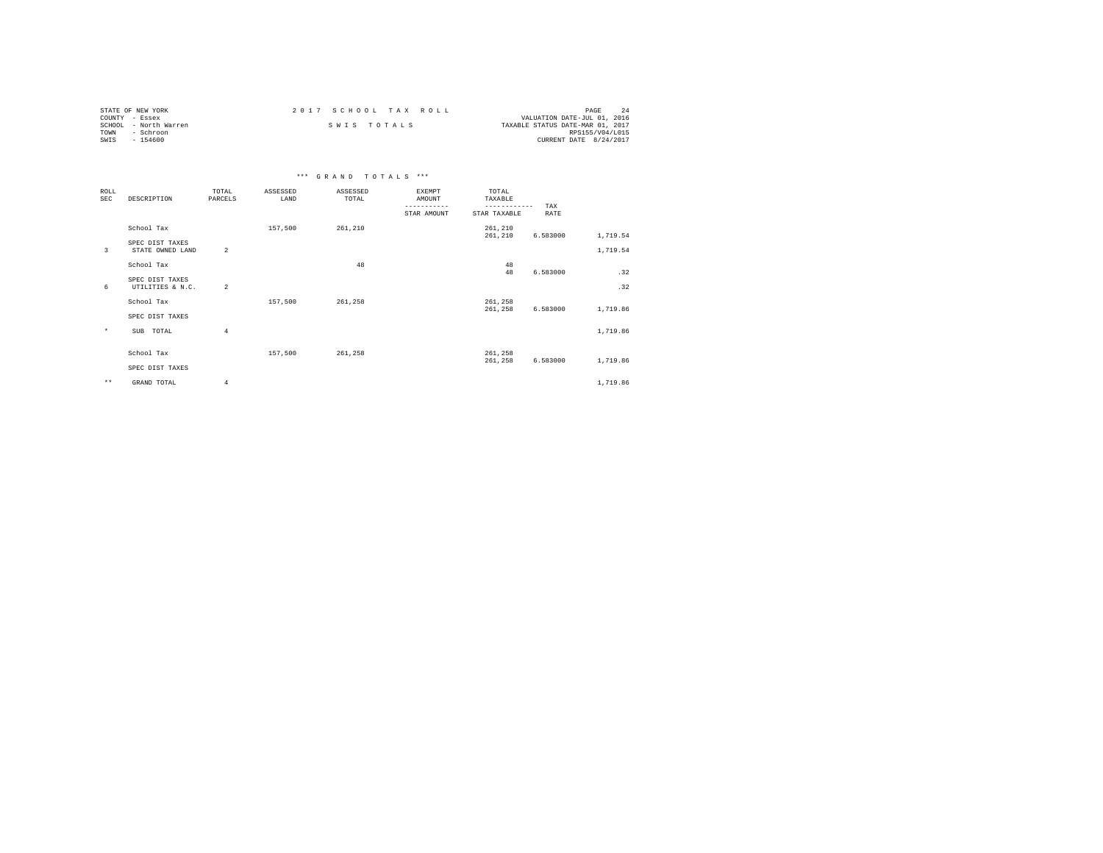| STATE OF NEW YORK     | 2017 SCHOOL TAX ROLL | PAGE                             |
|-----------------------|----------------------|----------------------------------|
| COUNTY - Essex        |                      | VALUATION DATE-JUL 01, 2016      |
| SCHOOL - North Warren | SWIS TOTALS          | TAXABLE STATUS DATE-MAR 01, 2017 |
| TOWN<br>- Schroon     |                      | RPS155/V04/L015                  |
| SWIS<br>$-154600$     |                      | CURRENT DATE 8/24/2017           |

|                           |                                     |                  |                  | *** GRAND TOTALS *** |                                                       |                                                  |             |          |
|---------------------------|-------------------------------------|------------------|------------------|----------------------|-------------------------------------------------------|--------------------------------------------------|-------------|----------|
| <b>ROLL</b><br><b>SEC</b> | DESCRIPTION                         | TOTAL<br>PARCELS | ASSESSED<br>LAND | ASSESSED<br>TOTAL    | <b>EXEMPT</b><br>AMOUNT<br>-----------<br>STAR AMOUNT | TOTAL<br>TAXABLE<br>------------<br>STAR TAXABLE | TAX<br>RATE |          |
|                           | School Tax                          |                  | 157,500          | 261,210              |                                                       | 261,210<br>261,210                               | 6.583000    | 1,719.54 |
| 3                         | SPEC DIST TAXES<br>STATE OWNED LAND | $\overline{2}$   |                  |                      |                                                       |                                                  |             | 1,719.54 |
|                           | School Tax                          |                  |                  | 48                   |                                                       | 48<br>48                                         | 6.583000    | .32      |
| 6                         | SPEC DIST TAXES<br>UTILITIES & N.C. | $\overline{2}$   |                  |                      |                                                       |                                                  |             | .32      |
|                           | School Tax                          |                  | 157,500          | 261,258              |                                                       | 261,258<br>261,258                               | 6.583000    | 1,719.86 |
|                           | SPEC DIST TAXES                     |                  |                  |                      |                                                       |                                                  |             |          |
| $\star$                   | SUB TOTAL                           | $\overline{4}$   |                  |                      |                                                       |                                                  |             | 1,719.86 |
|                           | School Tax                          |                  | 157,500          | 261.258              |                                                       | 261,258<br>261,258                               | 6.583000    | 1,719.86 |
|                           | SPEC DIST TAXES                     |                  |                  |                      |                                                       |                                                  |             |          |
| $\star\star$              | GRAND TOTAL                         | $\overline{4}$   |                  |                      |                                                       |                                                  |             | 1,719.86 |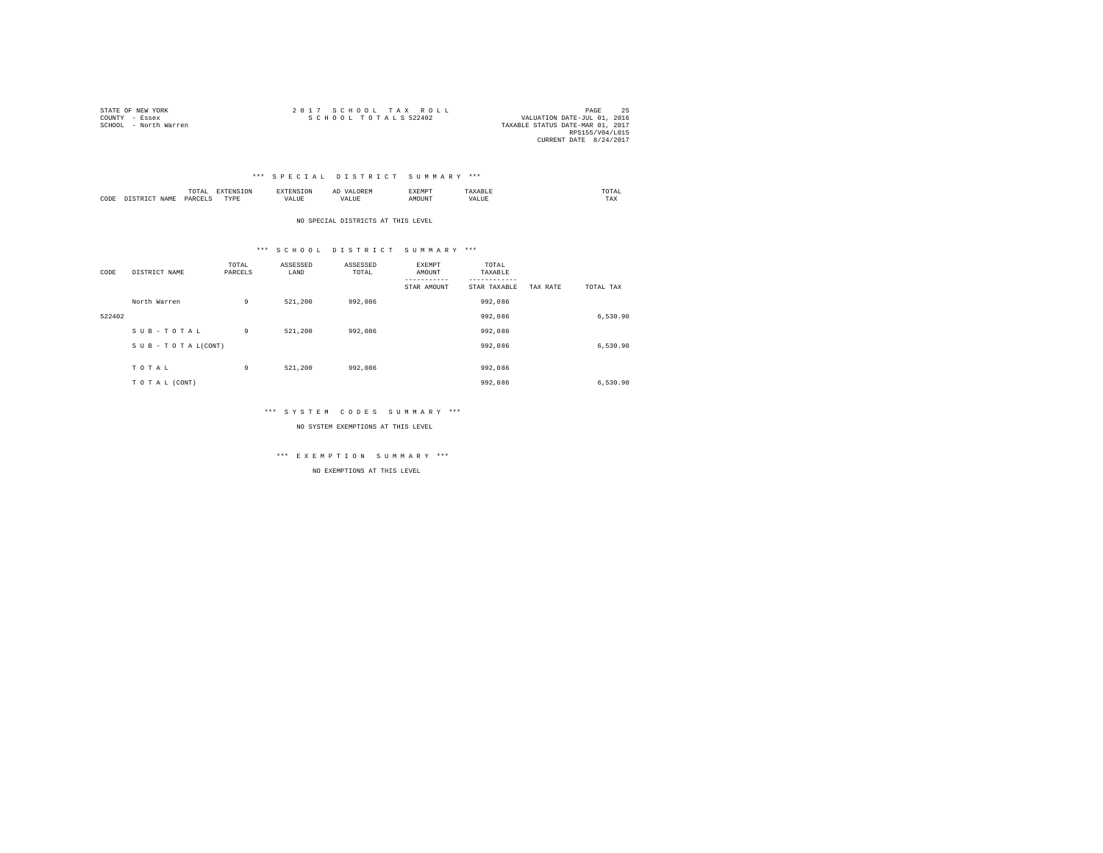| STATE OF NEW YORK     | 2017 SCHOOL TAX ROLL                                | PAGE            |  |
|-----------------------|-----------------------------------------------------|-----------------|--|
| COUNTY - Essex        | SCHOOL TOTALS 522402<br>VALUATION DATE-JUL 01, 2016 |                 |  |
| SCHOOL - North Warren | TAXABLE STATUS DATE-MAR 01, 2017                    |                 |  |
|                       |                                                     | RPS155/V04/L015 |  |
|                       | CURRENT DATE 8/24/2017                              |                 |  |

|      |                                                                                                                         | TUTAP.<br>the contract of the contract of the contract of the contract of the contract of |           | .     | $\sim$<br>. | £XEMP"        |                    | :OTAL<br>the contract of the contract of the contract of |
|------|-------------------------------------------------------------------------------------------------------------------------|-------------------------------------------------------------------------------------------|-----------|-------|-------------|---------------|--------------------|----------------------------------------------------------|
| CODE | JAMF<br>the contract of the contract of the contract of the contract of the contract of the contract of the contract of | <b>DAV</b><br>.                                                                           | TVDE<br>. | 'ALUE |             | <b>MOTIN'</b> | $+$ 7.73%<br>VALUL | TAX                                                      |

NO SPECIAL DISTRICTS AT THIS LEVEL

### \*\*\* S C H O O L D I S T R I C T S U M M A R Y \*\*\*

| CODE   | DISTRICT NAME      | TOTAL<br>PARCELS | ASSESSED<br>LAND | ASSESSED<br>TOTAL | EXEMPT<br>AMOUNT<br>---------<br>STAR AMOUNT | TOTAL<br>TAXABLE<br>---------<br>STAR TAXABLE | TAX RATE | TOTAL TAX |
|--------|--------------------|------------------|------------------|-------------------|----------------------------------------------|-----------------------------------------------|----------|-----------|
|        | North Warren       | 9                | 521,200          | 992.086           |                                              | 992.086                                       |          |           |
| 522402 |                    |                  |                  |                   |                                              | 992.086                                       |          | 6,530.90  |
|        | SUB-TOTAL          | 9                | 521,200          | 992.086           |                                              | 992,086                                       |          |           |
|        | SUB - TO TAL(CONT) |                  |                  |                   |                                              | 992.086                                       |          | 6,530.90  |
|        | TOTAL              | 9                | 521,200          | 992.086           |                                              | 992.086                                       |          |           |
|        | TO TAL (CONT)      |                  |                  |                   |                                              | 992.086                                       |          | 6,530.90  |

### \*\*\* S Y S T E M C O D E S S U M M A R Y \*\*\*

NO SYSTEM EXEMPTIONS AT THIS LEVEL

\*\*\* E X E M P T I O N S U M M A R Y \*\*\*